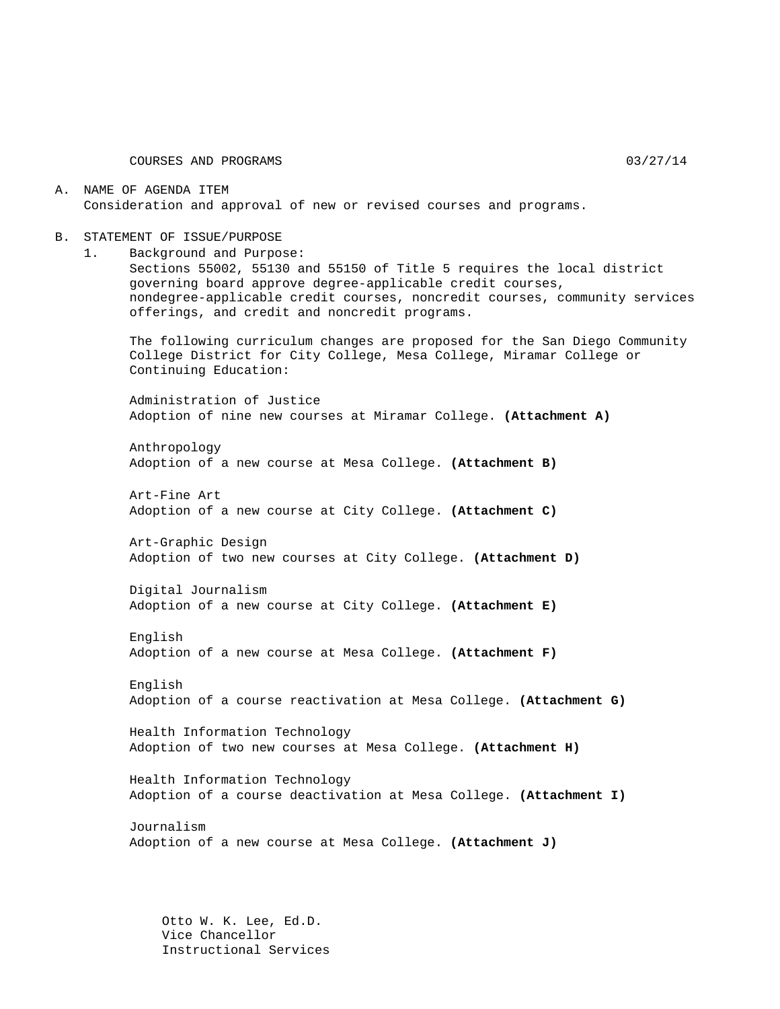COURSES AND PROGRAMS 03/27/14

A. NAME OF AGENDA ITEM Consideration and approval of new or revised courses and programs.

- B. STATEMENT OF ISSUE/PURPOSE
	- 1. Background and Purpose:

Sections 55002, 55130 and 55150 of Title 5 requires the local district governing board approve degree-applicable credit courses, nondegree-applicable credit courses, noncredit courses, community services offerings, and credit and noncredit programs.

The following curriculum changes are proposed for the San Diego Community College District for City College, Mesa College, Miramar College or Continuing Education:

Administration of Justice Adoption of nine new courses at Miramar College. **(Attachment A)**

Anthropology Adoption of a new course at Mesa College. **(Attachment B)**

Art-Fine Art Adoption of a new course at City College. **(Attachment C)**

Art-Graphic Design Adoption of two new courses at City College. **(Attachment D)**

Digital Journalism Adoption of a new course at City College. **(Attachment E)**

English Adoption of a new course at Mesa College. **(Attachment F)**

English Adoption of a course reactivation at Mesa College. **(Attachment G)**

Health Information Technology Adoption of two new courses at Mesa College. **(Attachment H)**

Health Information Technology Adoption of a course deactivation at Mesa College. **(Attachment I)**

Journalism Adoption of a new course at Mesa College. **(Attachment J)**

Otto W. K. Lee, Ed.D. Vice Chancellor Instructional Services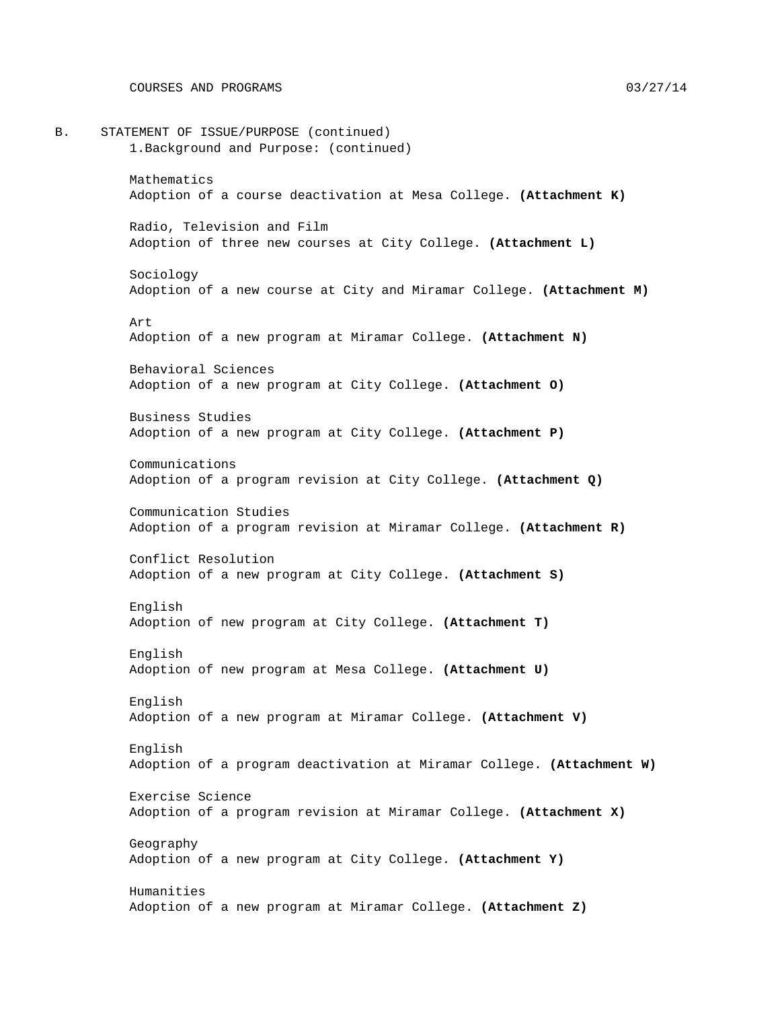B. STATEMENT OF ISSUE/PURPOSE (continued) 1.Background and Purpose: (continued) Mathematics Adoption of a course deactivation at Mesa College. **(Attachment K)** Radio, Television and Film Adoption of three new courses at City College. **(Attachment L)** Sociology Adoption of a new course at City and Miramar College. **(Attachment M)** Art Adoption of a new program at Miramar College. **(Attachment N)** Behavioral Sciences Adoption of a new program at City College. **(Attachment O)** Business Studies Adoption of a new program at City College. **(Attachment P)** Communications Adoption of a program revision at City College. **(Attachment Q)** Communication Studies Adoption of a program revision at Miramar College. **(Attachment R)** Conflict Resolution Adoption of a new program at City College. **(Attachment S)** English Adoption of new program at City College. **(Attachment T)** English Adoption of new program at Mesa College. **(Attachment U)** English Adoption of a new program at Miramar College. **(Attachment V)** English Adoption of a program deactivation at Miramar College. **(Attachment W)** Exercise Science Adoption of a program revision at Miramar College. **(Attachment X)** Geography Adoption of a new program at City College. **(Attachment Y)** Humanities Adoption of a new program at Miramar College. **(Attachment Z)**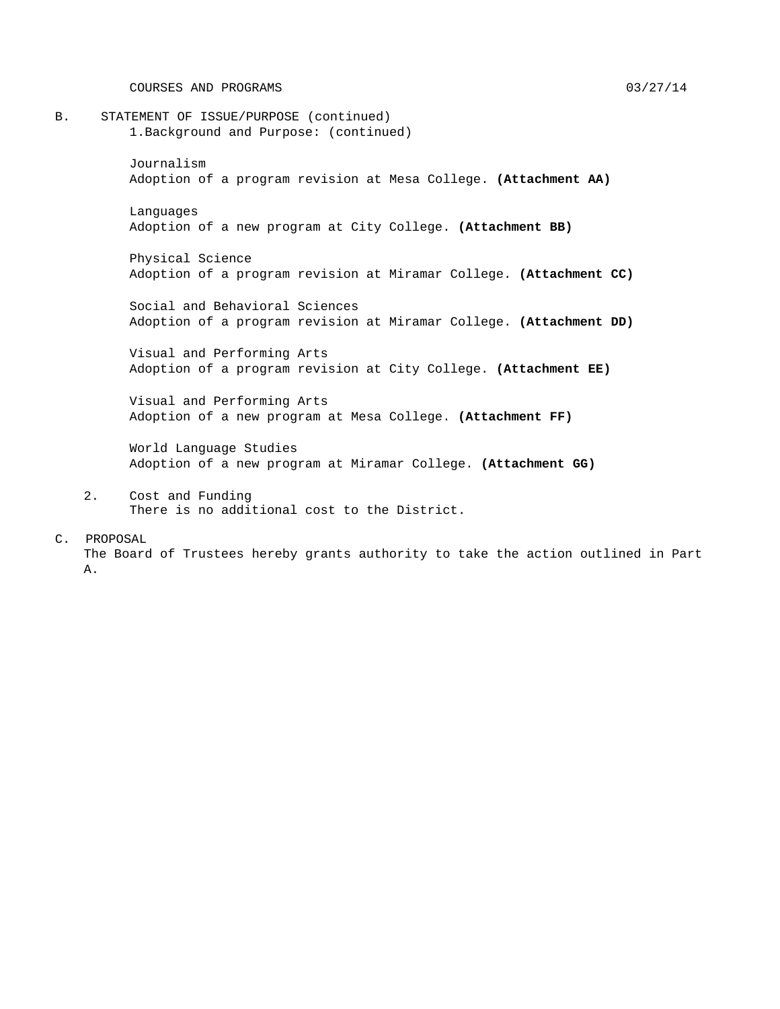COURSES AND PROGRAMS 03/27/14

B. STATEMENT OF ISSUE/PURPOSE (continued) 1.Background and Purpose: (continued)

> Journalism Adoption of a program revision at Mesa College. **(Attachment AA)**

Languages Adoption of a new program at City College. **(Attachment BB)**

Physical Science Adoption of a program revision at Miramar College. **(Attachment CC)**

Social and Behavioral Sciences Adoption of a program revision at Miramar College. **(Attachment DD)**

Visual and Performing Arts Adoption of a program revision at City College. **(Attachment EE)**

Visual and Performing Arts Adoption of a new program at Mesa College. **(Attachment FF)**

World Language Studies Adoption of a new program at Miramar College. **(Attachment GG)**

2. Cost and Funding There is no additional cost to the District.

#### C. PROPOSAL

The Board of Trustees hereby grants authority to take the action outlined in Part A.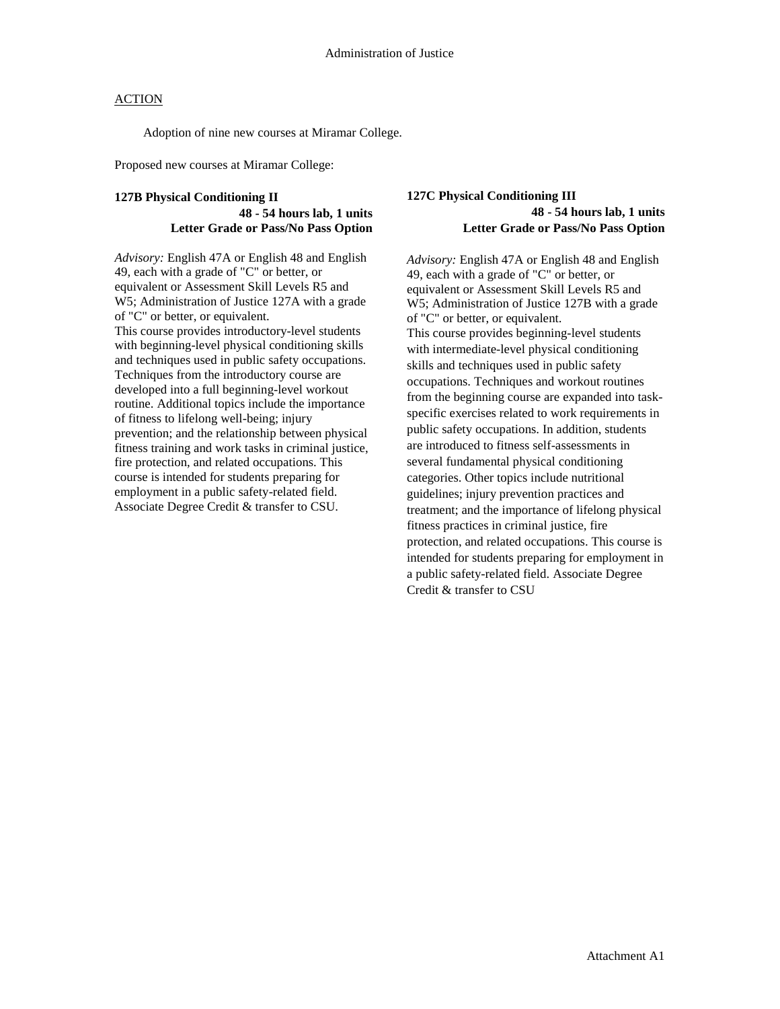Adoption of nine new courses at Miramar College.

Proposed new courses at Miramar College:

### **127B Physical Conditioning II 48 - 54 hours lab, 1 units Letter Grade or Pass/No Pass Option**

*Advisory:* English 47A or English 48 and English 49, each with a grade of "C" or better, or equivalent or Assessment Skill Levels R5 and W5; Administration of Justice 127A with a grade of "C" or better, or equivalent. This course provides introductory-level students with beginning-level physical conditioning skills and techniques used in public safety occupations. Techniques from the introductory course are developed into a full beginning-level workout routine. Additional topics include the importance of fitness to lifelong well-being; injury prevention; and the relationship between physical fitness training and work tasks in criminal justice, fire protection, and related occupations. This course is intended for students preparing for employment in a public safety-related field. Associate Degree Credit & transfer to CSU.

### **127C Physical Conditioning III 48 - 54 hours lab, 1 units Letter Grade or Pass/No Pass Option**

*Advisory:* English 47A or English 48 and English 49, each with a grade of "C" or better, or equivalent or Assessment Skill Levels R5 and W5; Administration of Justice 127B with a grade of "C" or better, or equivalent. This course provides beginning-level students with intermediate-level physical conditioning skills and techniques used in public safety occupations. Techniques and workout routines from the beginning course are expanded into taskspecific exercises related to work requirements in public safety occupations. In addition, students are introduced to fitness self-assessments in several fundamental physical conditioning categories. Other topics include nutritional guidelines; injury prevention practices and treatment; and the importance of lifelong physical fitness practices in criminal justice, fire protection, and related occupations. This course is intended for students preparing for employment in a public safety-related field. Associate Degree Credit & transfer to CSU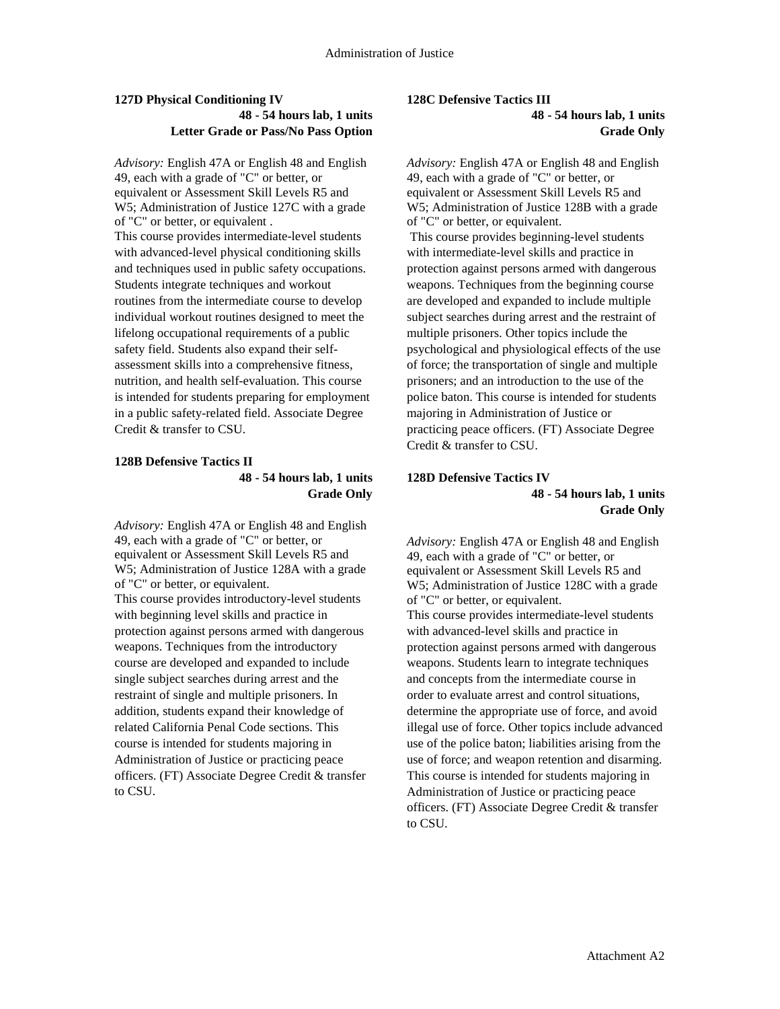### **127D Physical Conditioning IV 48 - 54 hours lab, 1 units Letter Grade or Pass/No Pass Option**

*Advisory:* English 47A or English 48 and English 49, each with a grade of "C" or better, or equivalent or Assessment Skill Levels R5 and W5; Administration of Justice 127C with a grade of "C" or better, or equivalent . This course provides intermediate-level students with advanced-level physical conditioning skills and techniques used in public safety occupations. Students integrate techniques and workout routines from the intermediate course to develop individual workout routines designed to meet the lifelong occupational requirements of a public safety field. Students also expand their selfassessment skills into a comprehensive fitness, nutrition, and health self-evaluation. This course is intended for students preparing for employment in a public safety-related field. Associate Degree Credit & transfer to CSU.

#### **128B Defensive Tactics II 48 - 54 hours lab, 1 units Grade Only**

*Advisory:* English 47A or English 48 and English 49, each with a grade of "C" or better, or equivalent or Assessment Skill Levels R5 and W5; Administration of Justice 128A with a grade of "C" or better, or equivalent. This course provides introductory-level students with beginning level skills and practice in protection against persons armed with dangerous weapons. Techniques from the introductory course are developed and expanded to include single subject searches during arrest and the restraint of single and multiple prisoners. In addition, students expand their knowledge of related California Penal Code sections. This course is intended for students majoring in Administration of Justice or practicing peace officers. (FT) Associate Degree Credit & transfer to CSU.

### **128C Defensive Tactics III 48 - 54 hours lab, 1 units**

**Grade Only**

*Advisory:* English 47A or English 48 and English 49, each with a grade of "C" or better, or equivalent or Assessment Skill Levels R5 and W5; Administration of Justice 128B with a grade of "C" or better, or equivalent.

This course provides beginning-level students with intermediate-level skills and practice in protection against persons armed with dangerous weapons. Techniques from the beginning course are developed and expanded to include multiple subject searches during arrest and the restraint of multiple prisoners. Other topics include the psychological and physiological effects of the use of force; the transportation of single and multiple prisoners; and an introduction to the use of the police baton. This course is intended for students majoring in Administration of Justice or practicing peace officers. (FT) Associate Degree Credit & transfer to CSU.

### **128D Defensive Tactics IV 48 - 54 hours lab, 1 units Grade Only**

*Advisory:* English 47A or English 48 and English 49, each with a grade of "C" or better, or equivalent or Assessment Skill Levels R5 and W5; Administration of Justice 128C with a grade of "C" or better, or equivalent. This course provides intermediate-level students with advanced-level skills and practice in protection against persons armed with dangerous weapons. Students learn to integrate techniques and concepts from the intermediate course in order to evaluate arrest and control situations, determine the appropriate use of force, and avoid illegal use of force. Other topics include advanced use of the police baton; liabilities arising from the use of force; and weapon retention and disarming. This course is intended for students majoring in Administration of Justice or practicing peace officers. (FT) Associate Degree Credit & transfer to CSU.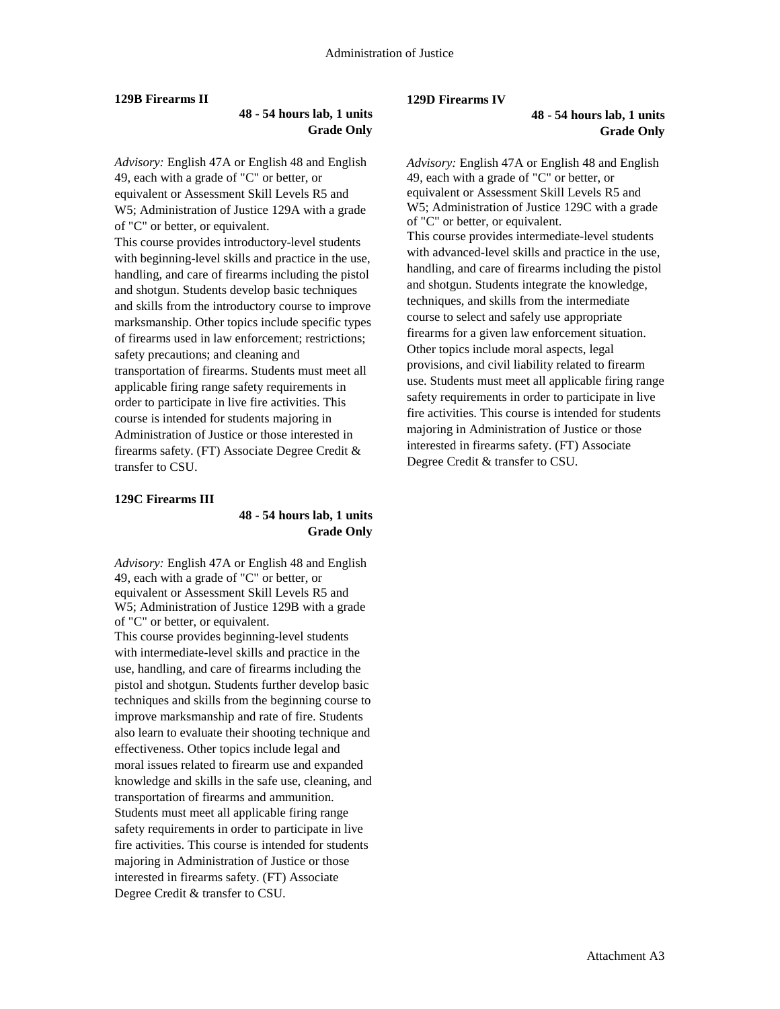#### **129B Firearms II**

### **48 - 54 hours lab, 1 units Grade Only**

*Advisory:* English 47A or English 48 and English 49, each with a grade of "C" or better, or equivalent or Assessment Skill Levels R5 and W5; Administration of Justice 129A with a grade of "C" or better, or equivalent. This course provides introductory-level students with beginning-level skills and practice in the use, handling, and care of firearms including the pistol and shotgun. Students develop basic techniques and skills from the introductory course to improve marksmanship. Other topics include specific types of firearms used in law enforcement; restrictions; safety precautions; and cleaning and transportation of firearms. Students must meet all applicable firing range safety requirements in order to participate in live fire activities. This course is intended for students majoring in Administration of Justice or those interested in firearms safety. (FT) Associate Degree Credit & transfer to CSU.

#### **129C Firearms III**

### **48 - 54 hours lab, 1 units Grade Only**

*Advisory:* English 47A or English 48 and English 49, each with a grade of "C" or better, or equivalent or Assessment Skill Levels R5 and W5; Administration of Justice 129B with a grade of "C" or better, or equivalent. This course provides beginning-level students with intermediate-level skills and practice in the use, handling, and care of firearms including the pistol and shotgun. Students further develop basic techniques and skills from the beginning course to improve marksmanship and rate of fire. Students also learn to evaluate their shooting technique and effectiveness. Other topics include legal and moral issues related to firearm use and expanded knowledge and skills in the safe use, cleaning, and transportation of firearms and ammunition. Students must meet all applicable firing range safety requirements in order to participate in live fire activities. This course is intended for students majoring in Administration of Justice or those interested in firearms safety. (FT) Associate Degree Credit & transfer to CSU.

#### **129D Firearms IV**

**48 - 54 hours lab, 1 units Grade Only**

*Advisory:* English 47A or English 48 and English 49, each with a grade of "C" or better, or equivalent or Assessment Skill Levels R5 and W5; Administration of Justice 129C with a grade of "C" or better, or equivalent. This course provides intermediate-level students with advanced-level skills and practice in the use, handling, and care of firearms including the pistol and shotgun. Students integrate the knowledge, techniques, and skills from the intermediate course to select and safely use appropriate firearms for a given law enforcement situation. Other topics include moral aspects, legal provisions, and civil liability related to firearm use. Students must meet all applicable firing range safety requirements in order to participate in live fire activities. This course is intended for students majoring in Administration of Justice or those interested in firearms safety. (FT) Associate Degree Credit & transfer to CSU.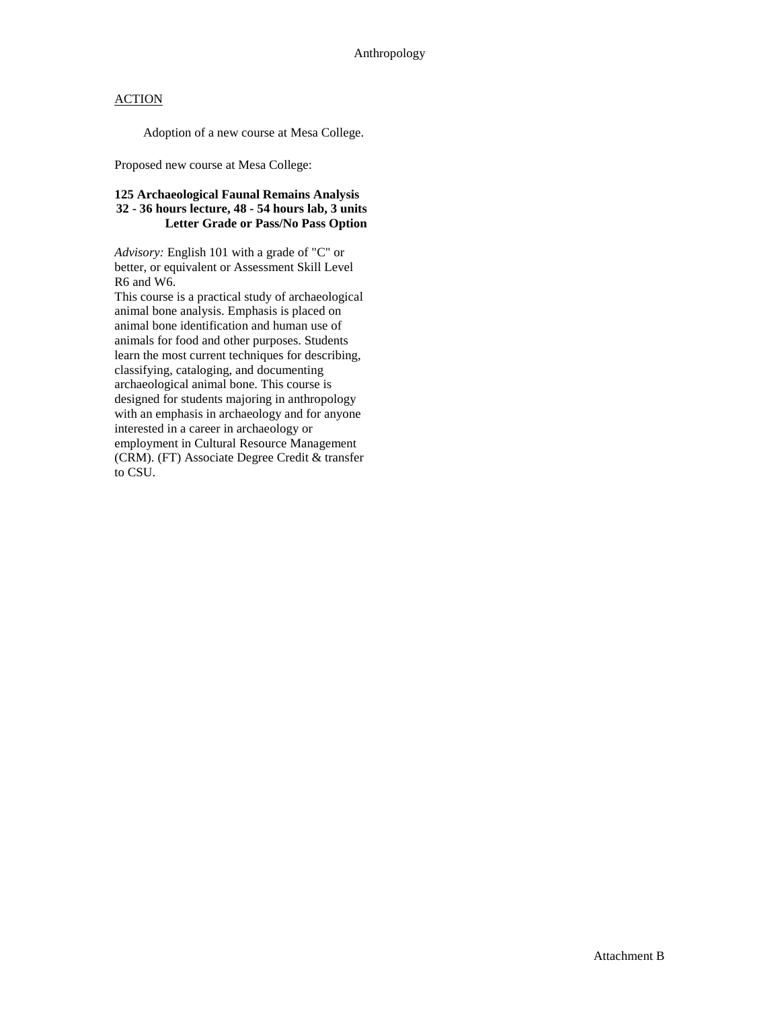Adoption of a new course at Mesa College.

Proposed new course at Mesa College:

#### **125 Archaeological Faunal Remains Analysis 32 - 36 hours lecture, 48 - 54 hours lab, 3 units Letter Grade or Pass/No Pass Option**

*Advisory:* English 101 with a grade of "C" or better, or equivalent or Assessment Skill Level R6 and W6.

This course is a practical study of archaeological animal bone analysis. Emphasis is placed on animal bone identification and human use of animals for food and other purposes. Students learn the most current techniques for describing, classifying, cataloging, and documenting archaeological animal bone. This course is designed for students majoring in anthropology with an emphasis in archaeology and for anyone interested in a career in archaeology or employment in Cultural Resource Management (CRM). (FT) Associate Degree Credit & transfer to CSU.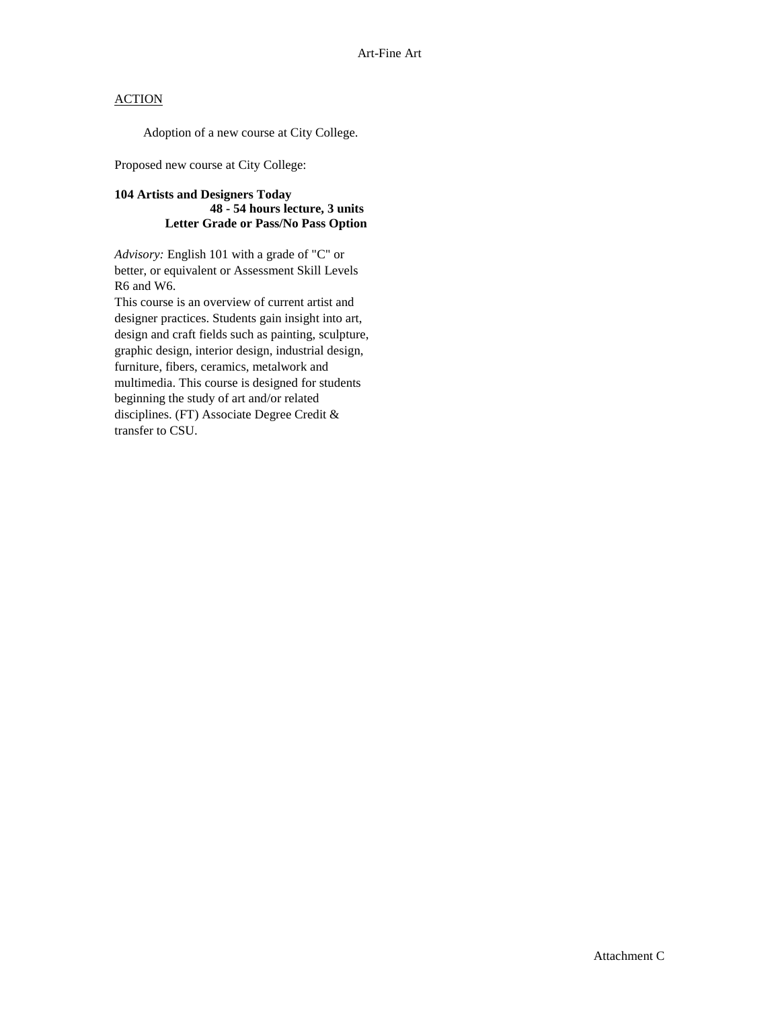Adoption of a new course at City College.

Proposed new course at City College:

#### **104 Artists and Designers Today 48 - 54 hours lecture, 3 units Letter Grade or Pass/No Pass Option**

*Advisory:* English 101 with a grade of "C" or better, or equivalent or Assessment Skill Levels R6 and W6.

This course is an overview of current artist and designer practices. Students gain insight into art, design and craft fields such as painting, sculpture, graphic design, interior design, industrial design, furniture, fibers, ceramics, metalwork and multimedia. This course is designed for students beginning the study of art and/or related disciplines. (FT) Associate Degree Credit & transfer to CSU.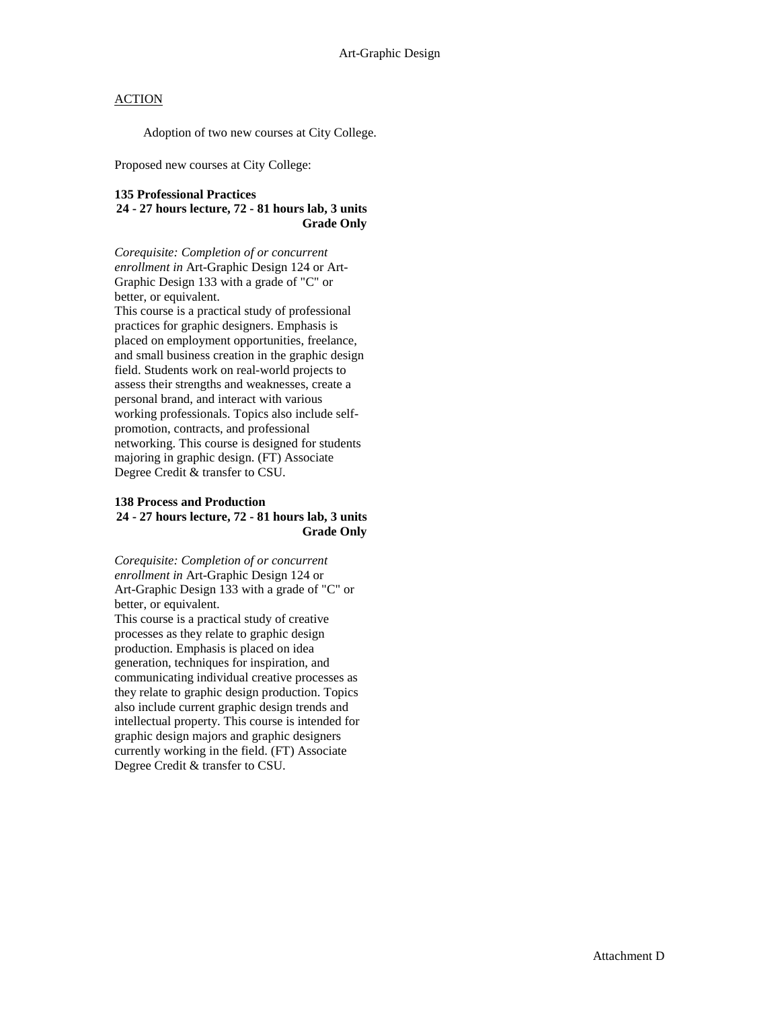Adoption of two new courses at City College.

Proposed new courses at City College:

### **135 Professional Practices**

**24 - 27 hours lecture, 72 - 81 hours lab, 3 units Grade Only**

*Corequisite: Completion of or concurrent enrollment in* Art-Graphic Design 124 or Art-Graphic Design 133 with a grade of "C" or better, or equivalent.

This course is a practical study of professional practices for graphic designers. Emphasis is placed on employment opportunities, freelance, and small business creation in the graphic design field. Students work on real-world projects to assess their strengths and weaknesses, create a personal brand, and interact with various working professionals. Topics also include selfpromotion, contracts, and professional networking. This course is designed for students majoring in graphic design. (FT) Associate Degree Credit & transfer to CSU.

#### **138 Process and Production 24 - 27 hours lecture, 72 - 81 hours lab, 3 units Grade Only**

*Corequisite: Completion of or concurrent enrollment in* Art-Graphic Design 124 or Art-Graphic Design 133 with a grade of "C" or better, or equivalent.

This course is a practical study of creative processes as they relate to graphic design production. Emphasis is placed on idea generation, techniques for inspiration, and communicating individual creative processes as they relate to graphic design production. Topics also include current graphic design trends and intellectual property. This course is intended for graphic design majors and graphic designers currently working in the field. (FT) Associate Degree Credit & transfer to CSU.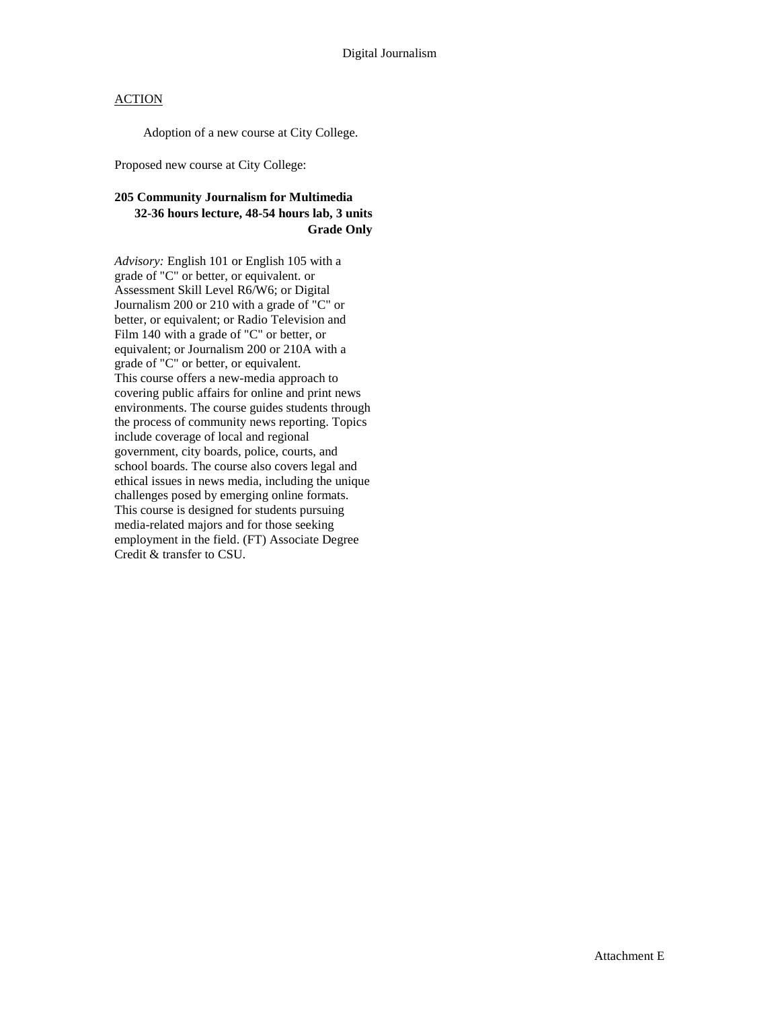Adoption of a new course at City College.

Proposed new course at City College:

### **205 Community Journalism for Multimedia 32-36 hours lecture, 48-54 hours lab, 3 units Grade Only**

*Advisory:* English 101 or English 105 with a grade of "C" or better, or equivalent. or Assessment Skill Level R6/W6; or Digital Journalism 200 or 210 with a grade of "C" or better, or equivalent; or Radio Television and Film 140 with a grade of "C" or better, or equivalent; or Journalism 200 or 210A with a grade of "C" or better, or equivalent. This course offers a new-media approach to covering public affairs for online and print news environments. The course guides students through the process of community news reporting. Topics include coverage of local and regional government, city boards, police, courts, and school boards. The course also covers legal and ethical issues in news media, including the unique challenges posed by emerging online formats. This course is designed for students pursuing media-related majors and for those seeking employment in the field. (FT) Associate Degree Credit & transfer to CSU.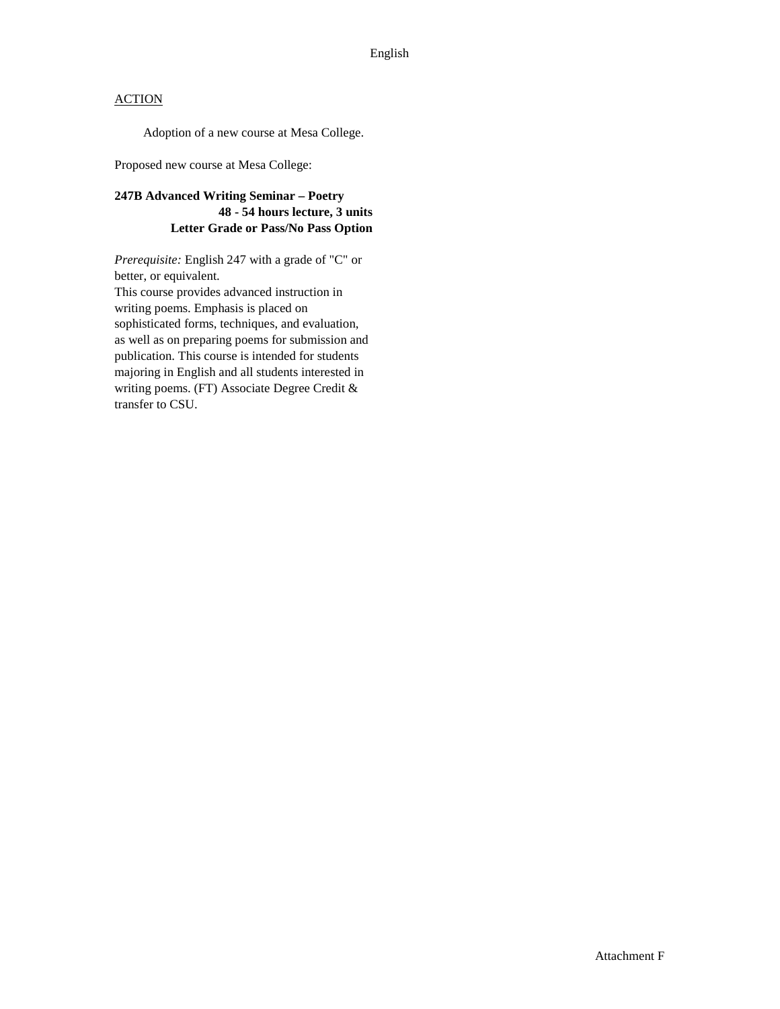Adoption of a new course at Mesa College.

Proposed new course at Mesa College:

### **247B Advanced Writing Seminar – Poetry 48 - 54 hours lecture, 3 units Letter Grade or Pass/No Pass Option**

*Prerequisite:* English 247 with a grade of "C" or better, or equivalent.

This course provides advanced instruction in writing poems. Emphasis is placed on sophisticated forms, techniques, and evaluation, as well as on preparing poems for submission and publication. This course is intended for students majoring in English and all students interested in writing poems. (FT) Associate Degree Credit & transfer to CSU.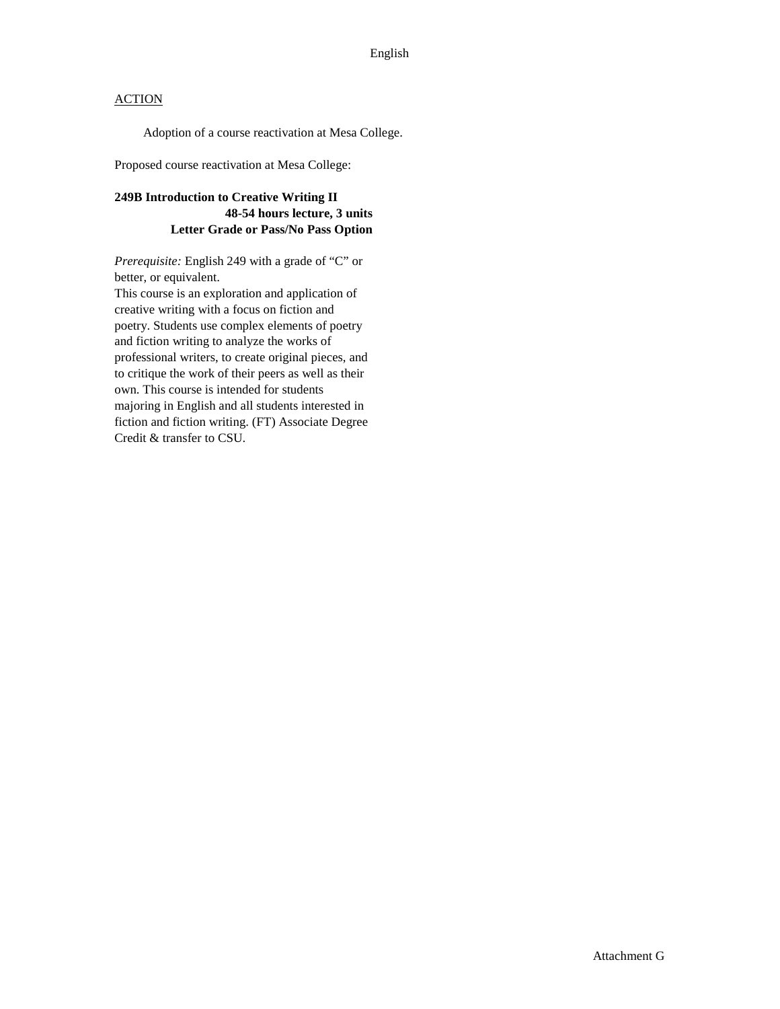Adoption of a course reactivation at Mesa College.

Proposed course reactivation at Mesa College:

### **249B Introduction to Creative Writing II 48-54 hours lecture, 3 units Letter Grade or Pass/No Pass Option**

*Prerequisite:* English 249 with a grade of "C" or better, or equivalent.

This course is an exploration and application of creative writing with a focus on fiction and poetry. Students use complex elements of poetry and fiction writing to analyze the works of professional writers, to create original pieces, and to critique the work of their peers as well as their own. This course is intended for students majoring in English and all students interested in fiction and fiction writing. (FT) Associate Degree Credit & transfer to CSU.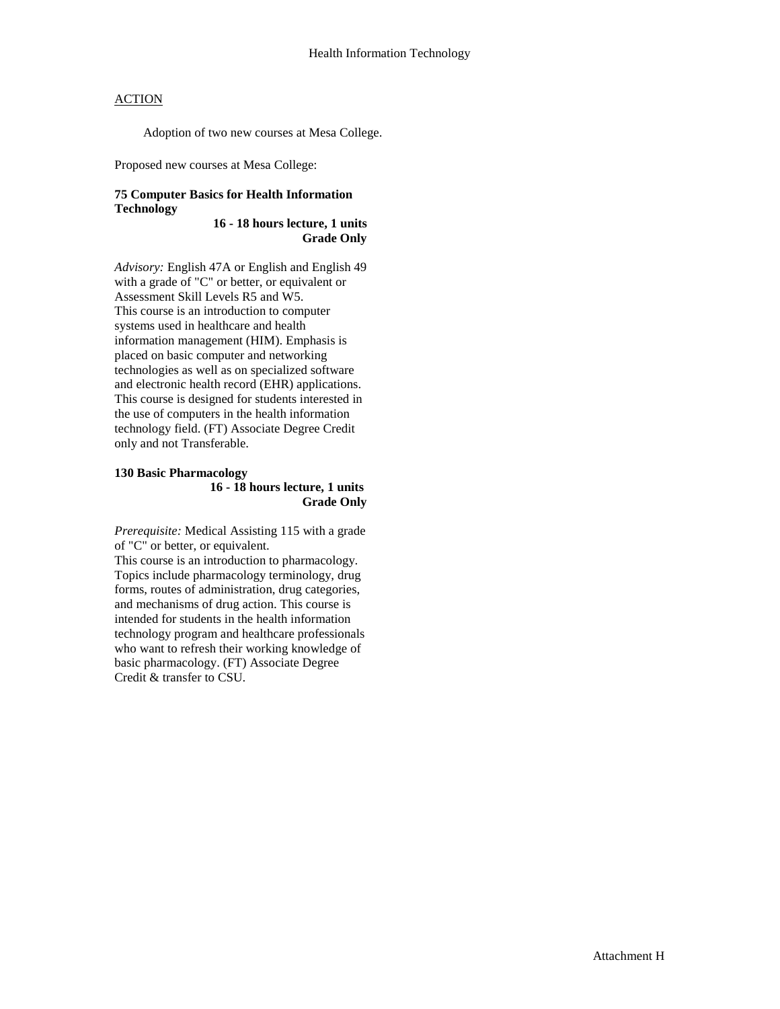Adoption of two new courses at Mesa College.

Proposed new courses at Mesa College:

#### **75 Computer Basics for Health Information Technology**

**16 - 18 hours lecture, 1 units Grade Only**

*Advisory:* English 47A or English and English 49 with a grade of "C" or better, or equivalent or Assessment Skill Levels R5 and W5. This course is an introduction to computer systems used in healthcare and health information management (HIM). Emphasis is placed on basic computer and networking technologies as well as on specialized software and electronic health record (EHR) applications. This course is designed for students interested in the use of computers in the health information technology field. (FT) Associate Degree Credit only and not Transferable.

#### **130 Basic Pharmacology 16 - 18 hours lecture, 1 units Grade Only**

*Prerequisite:* Medical Assisting 115 with a grade of "C" or better, or equivalent.

This course is an introduction to pharmacology. Topics include pharmacology terminology, drug forms, routes of administration, drug categories, and mechanisms of drug action. This course is intended for students in the health information technology program and healthcare professionals who want to refresh their working knowledge of basic pharmacology. (FT) Associate Degree Credit & transfer to CSU.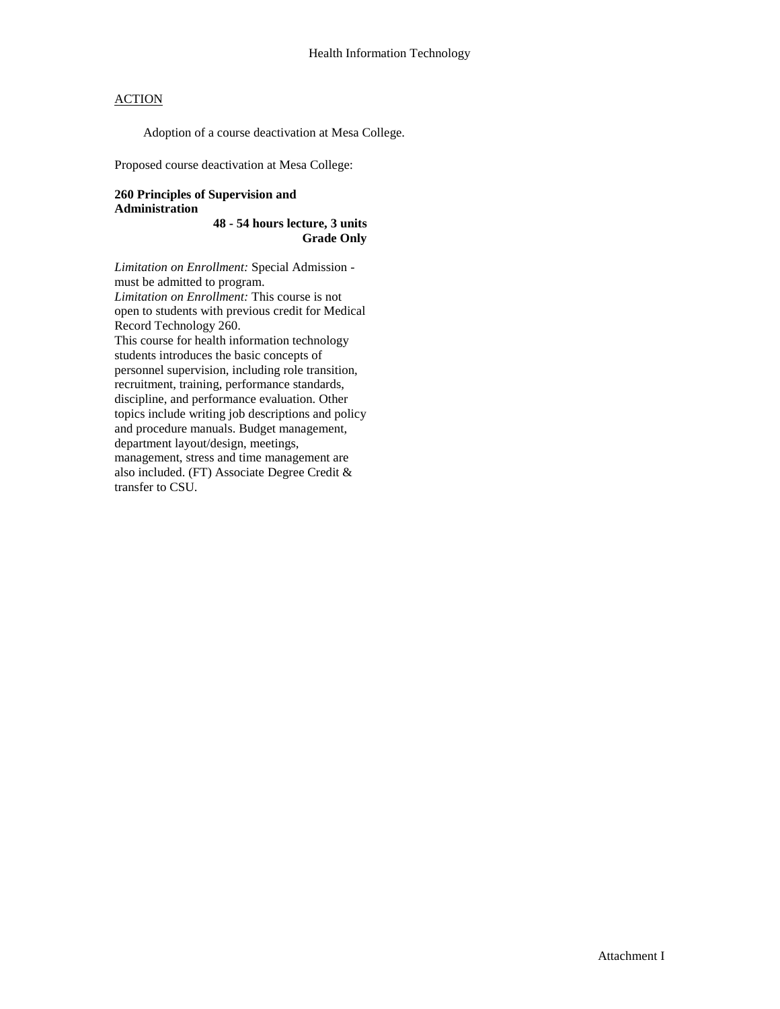Adoption of a course deactivation at Mesa College.

Proposed course deactivation at Mesa College:

#### **260 Principles of Supervision and Administration**

**48 - 54 hours lecture, 3 units Grade Only**

*Limitation on Enrollment:* Special Admission must be admitted to program. *Limitation on Enrollment:* This course is not open to students with previous credit for Medical Record Technology 260. This course for health information technology students introduces the basic concepts of personnel supervision, including role transition, recruitment, training, performance standards, discipline, and performance evaluation. Other topics include writing job descriptions and policy and procedure manuals. Budget management, department layout/design, meetings, management, stress and time management are also included. (FT) Associate Degree Credit & transfer to CSU.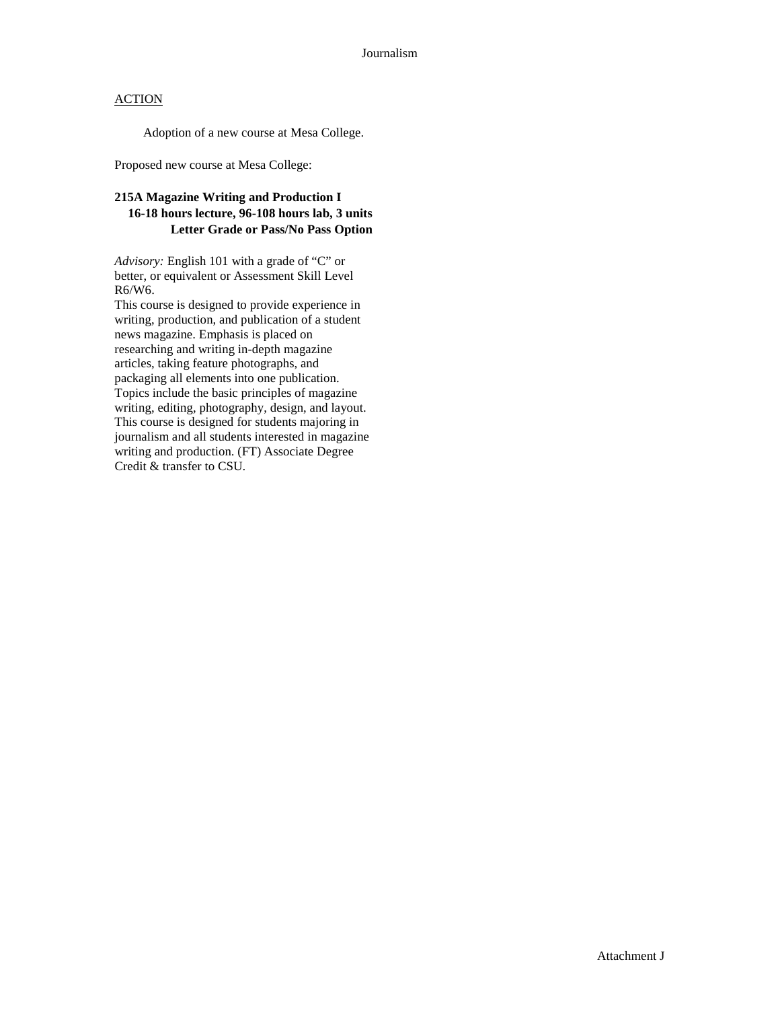Adoption of a new course at Mesa College.

Proposed new course at Mesa College:

### **215A Magazine Writing and Production I 16-18 hours lecture, 96-108 hours lab, 3 units Letter Grade or Pass/No Pass Option**

*Advisory:* English 101 with a grade of "C" or better, or equivalent or Assessment Skill Level R6/W6.

This course is designed to provide experience in writing, production, and publication of a student news magazine. Emphasis is placed on researching and writing in-depth magazine articles, taking feature photographs, and packaging all elements into one publication. Topics include the basic principles of magazine writing, editing, photography, design, and layout. This course is designed for students majoring in journalism and all students interested in magazine writing and production. (FT) Associate Degree Credit & transfer to CSU.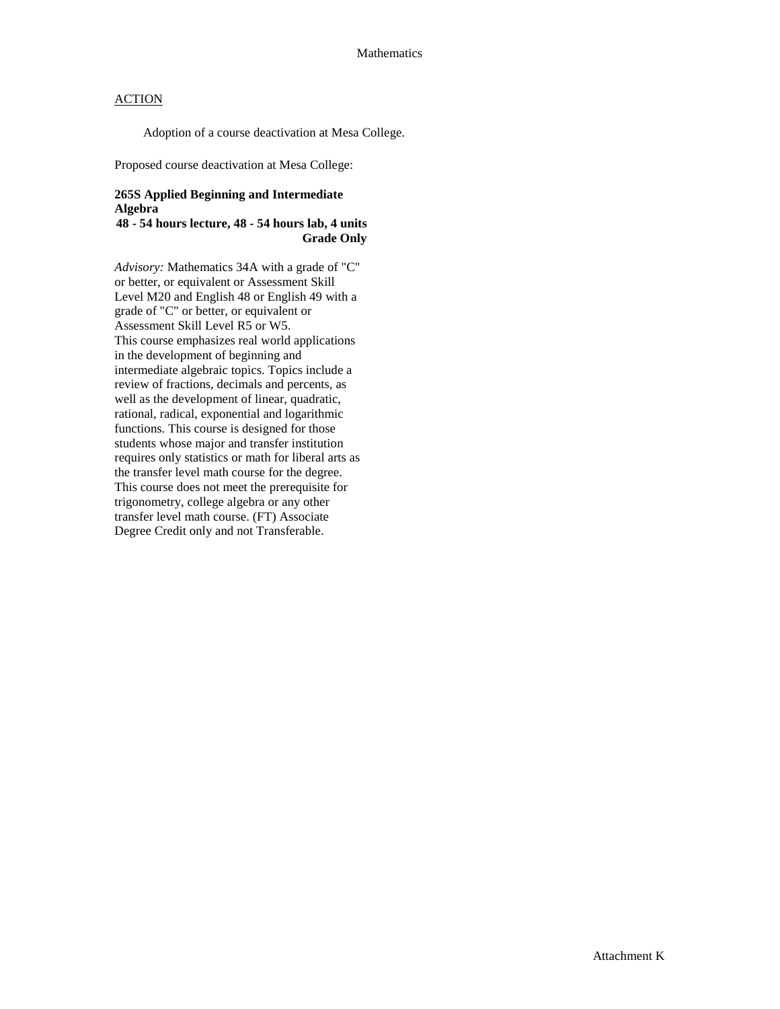Adoption of a course deactivation at Mesa College.

Proposed course deactivation at Mesa College:

### **265S Applied Beginning and Intermediate Algebra**

**48 - 54 hours lecture, 48 - 54 hours lab, 4 units Grade Only**

*Advisory:* Mathematics 34A with a grade of "C" or better, or equivalent or Assessment Skill Level M20 and English 48 or English 49 with a grade of "C" or better, or equivalent or Assessment Skill Level R5 or W5. This course emphasizes real world applications in the development of beginning and intermediate algebraic topics. Topics include a review of fractions, decimals and percents, as well as the development of linear, quadratic, rational, radical, exponential and logarithmic functions. This course is designed for those students whose major and transfer institution requires only statistics or math for liberal arts as the transfer level math course for the degree. This course does not meet the prerequisite for trigonometry, college algebra or any other transfer level math course. (FT) Associate Degree Credit only and not Transferable.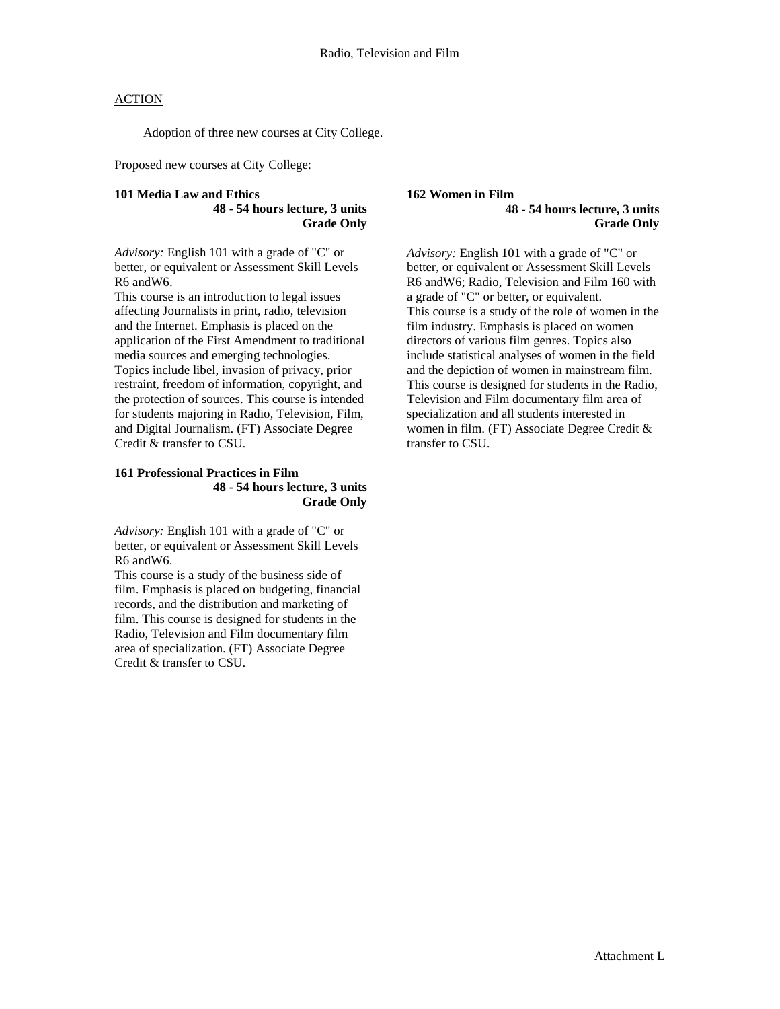Adoption of three new courses at City College.

Proposed new courses at City College:

#### **101 Media Law and Ethics 48 - 54 hours lecture, 3 units Grade Only**

*Advisory:* English 101 with a grade of "C" or better, or equivalent or Assessment Skill Levels R6 andW6.

This course is an introduction to legal issues affecting Journalists in print, radio, television and the Internet. Emphasis is placed on the application of the First Amendment to traditional media sources and emerging technologies. Topics include libel, invasion of privacy, prior restraint, freedom of information, copyright, and the protection of sources. This course is intended for students majoring in Radio, Television, Film, and Digital Journalism. (FT) Associate Degree Credit & transfer to CSU.

#### **161 Professional Practices in Film 48 - 54 hours lecture, 3 units Grade Only**

*Advisory:* English 101 with a grade of "C" or better, or equivalent or Assessment Skill Levels R6 andW6.

This course is a study of the business side of film. Emphasis is placed on budgeting, financial records, and the distribution and marketing of film. This course is designed for students in the Radio, Television and Film documentary film area of specialization. (FT) Associate Degree Credit & transfer to CSU.

#### **162 Women in Film 48 - 54 hours lecture, 3 units Grade Only**

*Advisory:* English 101 with a grade of "C" or better, or equivalent or Assessment Skill Levels R6 andW6; Radio, Television and Film 160 with a grade of "C" or better, or equivalent. This course is a study of the role of women in the film industry. Emphasis is placed on women directors of various film genres. Topics also include statistical analyses of women in the field and the depiction of women in mainstream film. This course is designed for students in the Radio, Television and Film documentary film area of specialization and all students interested in women in film. (FT) Associate Degree Credit & transfer to CSU.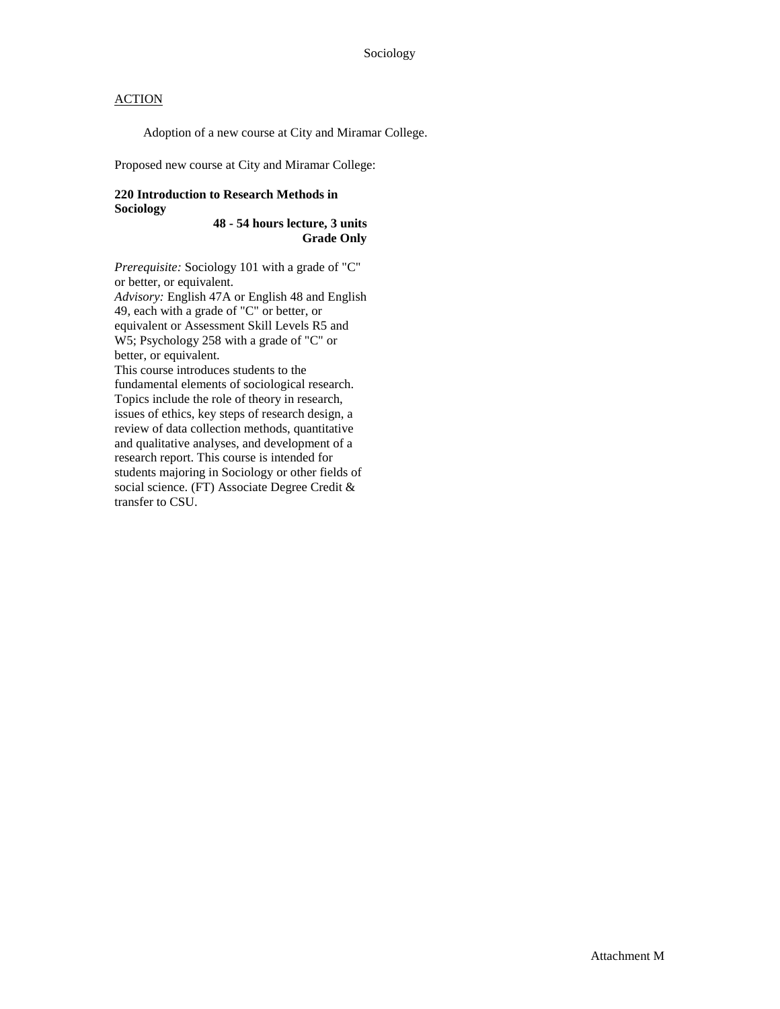Adoption of a new course at City and Miramar College.

Proposed new course at City and Miramar College:

#### **220 Introduction to Research Methods in Sociology**

**48 - 54 hours lecture, 3 units Grade Only**

*Prerequisite:* Sociology 101 with a grade of "C" or better, or equivalent.

*Advisory:* English 47A or English 48 and English 49, each with a grade of "C" or better, or equivalent or Assessment Skill Levels R5 and W5; Psychology 258 with a grade of "C" or better, or equivalent.

This course introduces students to the fundamental elements of sociological research. Topics include the role of theory in research, issues of ethics, key steps of research design, a review of data collection methods, quantitative and qualitative analyses, and development of a research report. This course is intended for students majoring in Sociology or other fields of social science. (FT) Associate Degree Credit & transfer to CSU.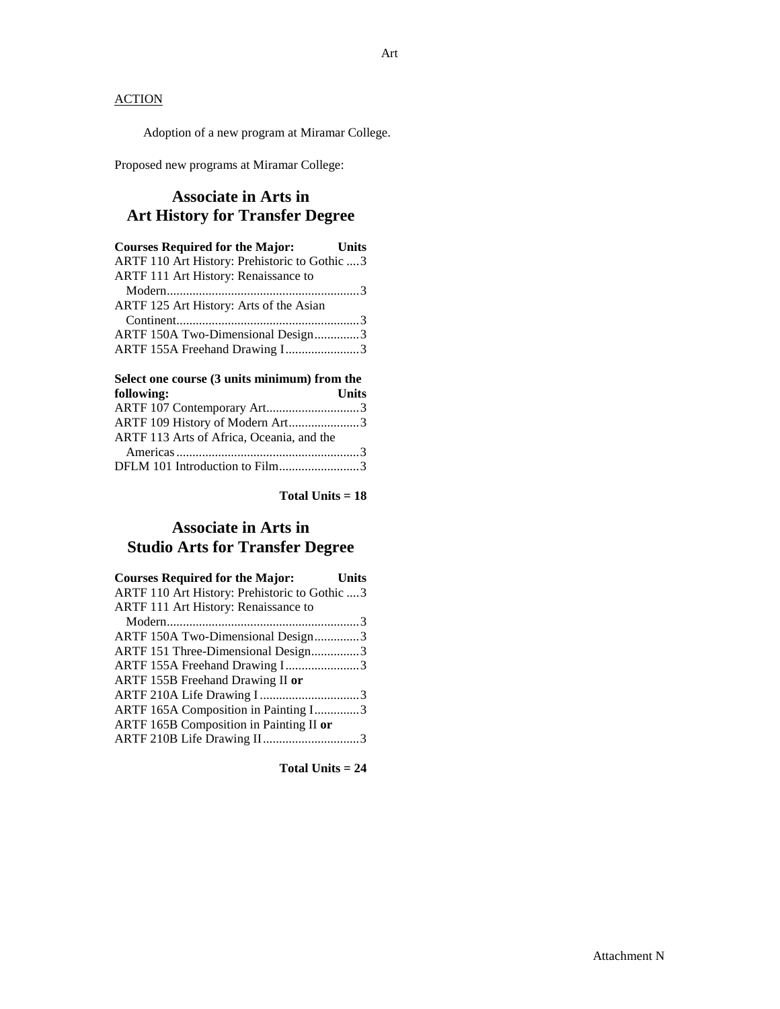Adoption of a new program at Miramar College.

Proposed new programs at Miramar College:

### **Associate in Arts in Art History for Transfer Degree**

| <b>Courses Required for the Major:</b> Units   |  |
|------------------------------------------------|--|
| ARTF 110 Art History: Prehistoric to Gothic  3 |  |
| <b>ARTF 111 Art History: Renaissance to</b>    |  |
|                                                |  |
| ARTF 125 Art History: Arts of the Asian        |  |
|                                                |  |
| ARTF 150A Two-Dimensional Design3              |  |
| ARTF 155A Freehand Drawing I3                  |  |
|                                                |  |

| Select one course (3 units minimum) from the |              |
|----------------------------------------------|--------------|
| following:                                   | <b>Units</b> |
| ARTF 107 Contemporary Art3                   |              |
| ARTF 109 History of Modern Art3              |              |
| ARTF 113 Arts of Africa, Oceania, and the    |              |
|                                              |              |
| DFLM 101 Introduction to Film3               |              |

**Total Units = 18**

### **Associate in Arts in Studio Arts for Transfer Degree**

| <b>Courses Required for the Major:</b>         | <b>Units</b> |
|------------------------------------------------|--------------|
| ARTF 110 Art History: Prehistoric to Gothic  3 |              |
| ARTF 111 Art History: Renaissance to           |              |
|                                                |              |
| ARTF 150A Two-Dimensional Design3              |              |
| ARTF 151 Three-Dimensional Design3             |              |
| ARTF 155A Freehand Drawing I3                  |              |
| ARTF 155B Freehand Drawing II or               |              |
| ARTF 210A Life Drawing I3                      |              |
| ARTF 165A Composition in Painting I3           |              |
| ARTF 165B Composition in Painting II or        |              |
| ARTF 210B Life Drawing II3                     |              |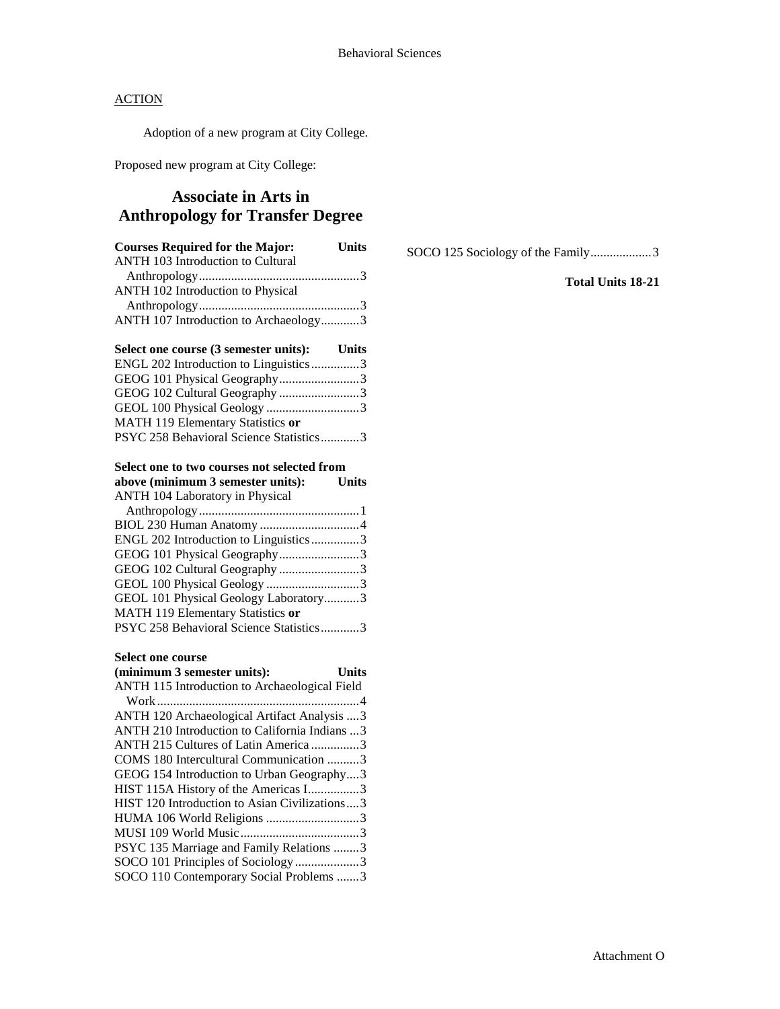Adoption of a new program at City College.

Proposed new program at City College:

### **Associate in Arts in Anthropology for Transfer Degree**

| <b>Courses Required for the Major:</b>   | <b>Units</b> |
|------------------------------------------|--------------|
| <b>ANTH 103 Introduction to Cultural</b> |              |
|                                          |              |
| <b>ANTH 102 Introduction to Physical</b> |              |
|                                          |              |
| ANTH 107 Introduction to Archaeology3    |              |
|                                          |              |

#### **Select one course (3 semester units): Units** ENGL 202 Introduction to Linguistics...............3 GEOG 101 Physical Geography.........................3 GEOG 102 Cultural Geography .........................3 GEOL 100 Physical Geology .............................3 MATH 119 Elementary Statistics **or** PSYC 258 Behavioral Science Statistics............3

#### **Select one to two courses not selected from**

| above (minimum 3 semester units):       | <b>Units</b> |
|-----------------------------------------|--------------|
| <b>ANTH 104 Laboratory in Physical</b>  |              |
|                                         |              |
|                                         |              |
| ENGL 202 Introduction to Linguistics3   |              |
| GEOG 101 Physical Geography3            |              |
| GEOG 102 Cultural Geography 3           |              |
| GEOL 100 Physical Geology 3             |              |
| GEOL 101 Physical Geology Laboratory3   |              |
| MATH 119 Elementary Statistics or       |              |
| PSYC 258 Behavioral Science Statistics3 |              |
|                                         |              |

#### **Select one course**

| (minimum 3 semester units):                    | <b>Units</b> |
|------------------------------------------------|--------------|
| ANTH 115 Introduction to Archaeological Field  |              |
|                                                |              |
| ANTH 120 Archaeological Artifact Analysis  3   |              |
| ANTH 210 Introduction to California Indians  3 |              |
| ANTH 215 Cultures of Latin America3            |              |
| COMS 180 Intercultural Communication 3         |              |
| GEOG 154 Introduction to Urban Geography3      |              |
| HIST 115A History of the Americas I3           |              |
| HIST 120 Introduction to Asian Civilizations3  |              |
| HUMA 106 World Religions 3                     |              |
|                                                |              |
| PSYC 135 Marriage and Family Relations 3       |              |
| SOCO 101 Principles of Sociology3              |              |
| SOCO 110 Contemporary Social Problems 3        |              |
|                                                |              |

SOCO 125 Sociology of the Family...................3

### **Total Units 18-21**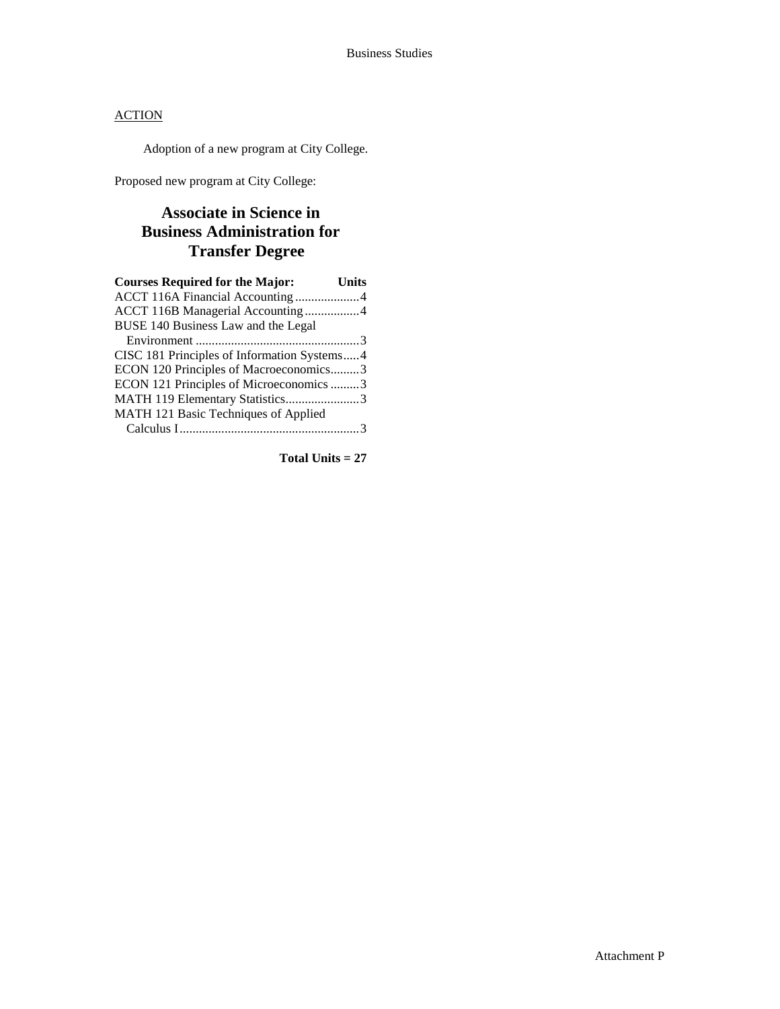Adoption of a new program at City College.

Proposed new program at City College:

### **Associate in Science in Business Administration for Transfer Degree**

| <b>Courses Required for the Major:</b>      | Units |
|---------------------------------------------|-------|
| ACCT 116A Financial Accounting4             |       |
| ACCT 116B Managerial Accounting 4           |       |
| BUSE 140 Business Law and the Legal         |       |
|                                             |       |
| CISC 181 Principles of Information Systems4 |       |
| ECON 120 Principles of Macroeconomics3      |       |
| ECON 121 Principles of Microeconomics 3     |       |
| MATH 119 Elementary Statistics3             |       |
| MATH 121 Basic Techniques of Applied        |       |
|                                             |       |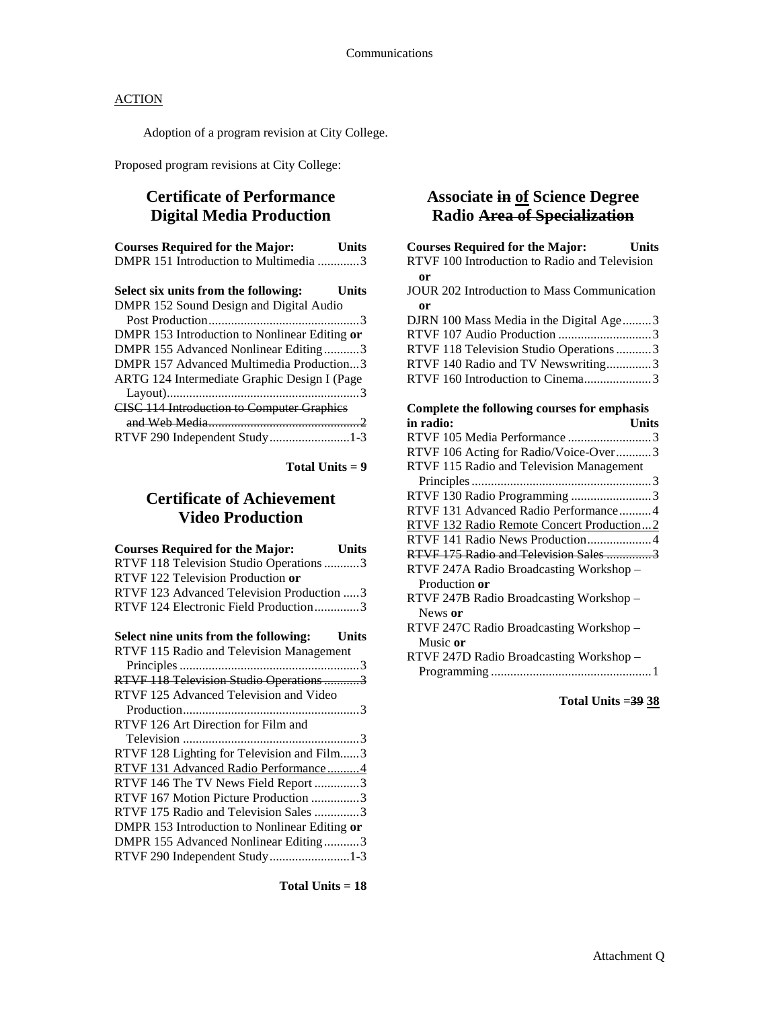Adoption of a program revision at City College.

Proposed program revisions at City College:

### **Certificate of Performance Digital Media Production**

| <b>Courses Required for the Major:</b>  | <b>Units</b> |
|-----------------------------------------|--------------|
| DMPR 151 Introduction to Multimedia 3   |              |
| Select six units from the following:    | <b>Units</b> |
| DMPR 152 Sound Design and Digital Audio |              |

| DMPR 153 Introduction to Nonlinear Editing or     |  |
|---------------------------------------------------|--|
| DMPR 155 Advanced Nonlinear Editing3              |  |
| DMPR 157 Advanced Multimedia Production3          |  |
| ARTG 124 Intermediate Graphic Design I (Page      |  |
|                                                   |  |
| <b>CISC 114 Introduction to Computer Graphics</b> |  |
|                                                   |  |
| RTVF 290 Independent Study1-3                     |  |
|                                                   |  |

**Total Units = 9**

### **Certificate of Achievement Video Production**

| <b>Courses Required for the Major:</b><br><b>Units</b> |
|--------------------------------------------------------|
| RTVF 118 Television Studio Operations 3                |
| RTVF 122 Television Production or                      |
| RTVF 123 Advanced Television Production  3             |
| RTVF 124 Electronic Field Production3                  |
| Select nine units from the following: Units            |
| RTVF 115 Radio and Television Management               |
|                                                        |
| RTVF 118 Television Studio Operations 3                |
| RTVF 125 Advanced Television and Video                 |
|                                                        |
| RTVF 126 Art Direction for Film and                    |
|                                                        |
| RTVF 128 Lighting for Television and Film3             |
| RTVF 131 Advanced Radio Performance4                   |
| RTVF 146 The TV News Field Report 3                    |
| RTVF 167 Motion Picture Production 3                   |
| RTVF 175 Radio and Television Sales 3                  |
| DMPR 153 Introduction to Nonlinear Editing or          |
| DMPR 155 Advanced Nonlinear Editing3                   |
| RTVF 290 Independent Study1-3                          |

**Total Units = 18**

### **Associate in of Science Degree Radio Area of Specialization**

| <b>Courses Required for the Major:</b> Units  |
|-----------------------------------------------|
| RTVF 100 Introduction to Radio and Television |
| or                                            |
| JOUR 202 Introduction to Mass Communication   |
| or                                            |
| DJRN 100 Mass Media in the Digital Age3       |
| RTVF 107 Audio Production 3                   |
| RTVF 118 Television Studio Operations 3       |
| RTVF 140 Radio and TV Newswriting3            |
| RTVF 160 Introduction to Cinema3              |
|                                               |
| Complete the following courses for emphasis   |
| in radio:<br><b>Units</b>                     |
| RTVF 105 Media Performance 3                  |
| RTVF 106 Acting for Radio/Voice-Over3         |
| RTVF 115 Radio and Television Management      |
|                                               |
| RTVF 130 Radio Programming 3                  |
| RTVF 131 Advanced Radio Performance4          |
| RTVF 132 Radio Remote Concert Production2     |
| RTVF 141 Radio News Production4               |
| RTVF 175 Radio and Television Sales 3         |
| RTVF 247A Radio Broadcasting Workshop -       |
| Production or                                 |
| RTVF 247B Radio Broadcasting Workshop -       |
| News or                                       |
| RTVF 247C Radio Broadcasting Workshop -       |
| Music or                                      |
| RTVF 247D Radio Broadcasting Workshop -       |
|                                               |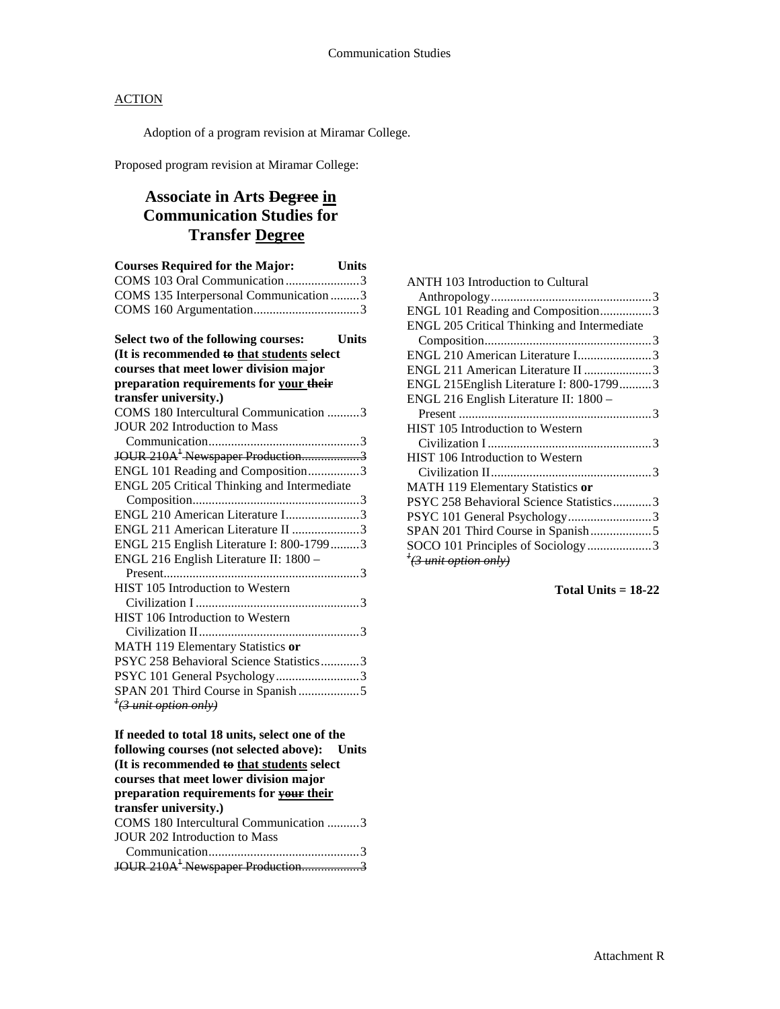Adoption of a program revision at Miramar College.

Proposed program revision at Miramar College:

### **Associate in Arts Degree in Communication Studies for Transfer Degree**

| <b>Courses Required for the Major:</b>       | <b>Units</b> |
|----------------------------------------------|--------------|
| COMS 103 Oral Communication 3                |              |
| COMS 135 Interpersonal Communication 3       |              |
|                                              |              |
| Select two of the following courses:         | <b>Units</b> |
| (It is recommended to that students select   |              |
| courses that meet lower division major       |              |
| preparation requirements for your their      |              |
| transfer university.)                        |              |
| COMS 180 Intercultural Communication 3       |              |
| <b>JOUR 202 Introduction to Mass</b>         |              |
|                                              |              |
| JOUR 210A <sup>1</sup> Newspaper Production3 |              |
| ENGL 101 Reading and Composition3            |              |
| ENGL 205 Critical Thinking and Intermediate  |              |
|                                              |              |
| ENGL 210 American Literature I3              |              |
| ENGL 211 American Literature II 3            |              |
| ENGL 215 English Literature I: 800-17993     |              |
| ENGL 216 English Literature II: 1800 -       |              |
|                                              |              |
| HIST 105 Introduction to Western             |              |
|                                              |              |
| HIST 106 Introduction to Western             |              |
|                                              |              |
| MATH 119 Elementary Statistics or            |              |
| PSYC 258 Behavioral Science Statistics3      |              |
| PSYC 101 General Psychology3                 |              |
| SPAN 201 Third Course in Spanish5            |              |
| <sup>†</sup> (3 unit option only)            |              |

**If needed to total 18 units, select one of the following courses (not selected above): Units (It is recommended to that students select courses that meet lower division major preparation requirements for your their transfer university.)** COMS 180 Intercultural Communication ..........3 JOUR 202 Introduction to Mass Communication...............................................3 JOUR 210A<sup>1</sup> Newspaper Production...................3

| <b>ANTH 103 Introduction to Cultural</b>    |
|---------------------------------------------|
|                                             |
| ENGL 101 Reading and Composition3           |
| ENGL 205 Critical Thinking and Intermediate |
|                                             |
| ENGL 210 American Literature I3             |
| ENGL 211 American Literature II 3           |
| ENGL 215English Literature I: 800-17993     |
| ENGL 216 English Literature II: 1800 -      |
|                                             |
| <b>HIST 105 Introduction to Western</b>     |
|                                             |
| <b>HIST 106 Introduction to Western</b>     |
|                                             |
| MATH 119 Elementary Statistics or           |
| PSYC 258 Behavioral Science Statistics3     |
| PSYC 101 General Psychology3                |
| SPAN 201 Third Course in Spanish5           |
| SOCO 101 Principles of Sociology3           |
| $\frac{1}{2}$ and the option only)          |
|                                             |

**Total Units = 18-22**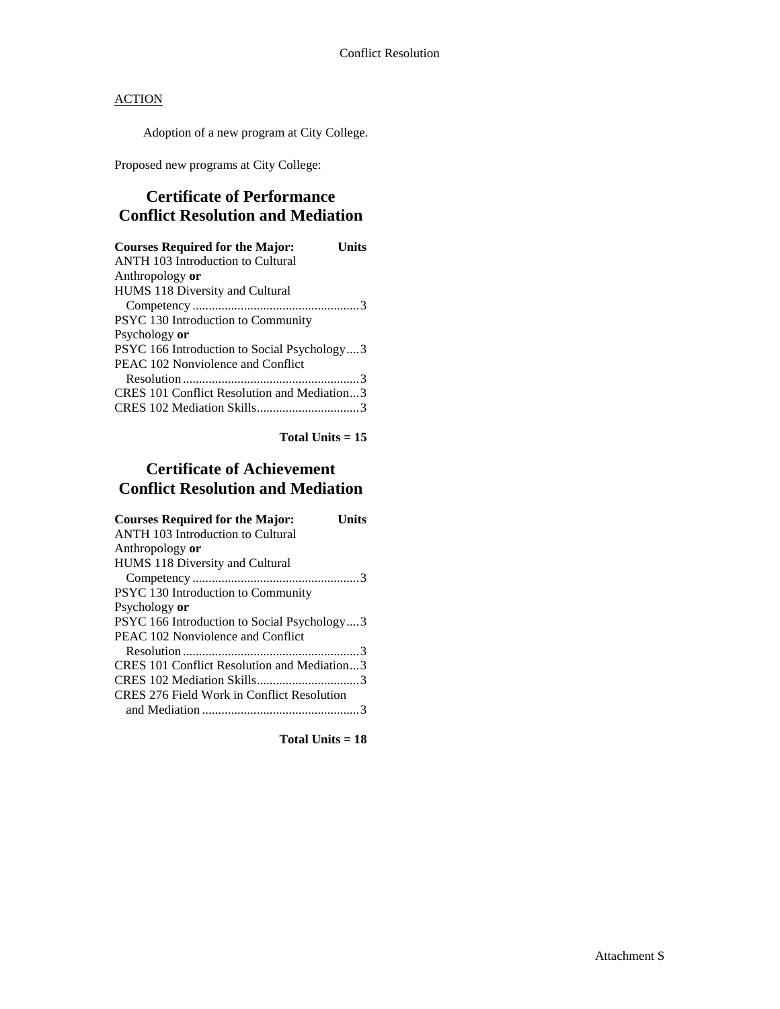Adoption of a new program at City College.

Proposed new programs at City College:

### **Certificate of Performance Conflict Resolution and Mediation**

| <b>Courses Required for the Major:</b><br>Units<br><b>ANTH 103 Introduction to Cultural</b> |
|---------------------------------------------------------------------------------------------|
| Anthropology or                                                                             |
| HUMS 118 Diversity and Cultural                                                             |
| PSYC 130 Introduction to Community                                                          |
| Psychology or<br>PSYC 166 Introduction to Social Psychology3                                |
| PEAC 102 Nonviolence and Conflict                                                           |
| CRES 101 Conflict Resolution and Mediation3                                                 |
|                                                                                             |

**Total Units = 15**

### **Certificate of Achievement Conflict Resolution and Mediation**

| <b>Courses Required for the Major:</b><br>Units |
|-------------------------------------------------|
| <b>ANTH 103 Introduction to Cultural</b>        |
| Anthropology or                                 |
| HUMS 118 Diversity and Cultural                 |
|                                                 |
| PSYC 130 Introduction to Community              |
| Psychology or                                   |
| PSYC 166 Introduction to Social Psychology3     |
| PEAC 102 Nonviolence and Conflict               |
|                                                 |
| CRES 101 Conflict Resolution and Mediation3     |
|                                                 |
| CRES 276 Field Work in Conflict Resolution      |
|                                                 |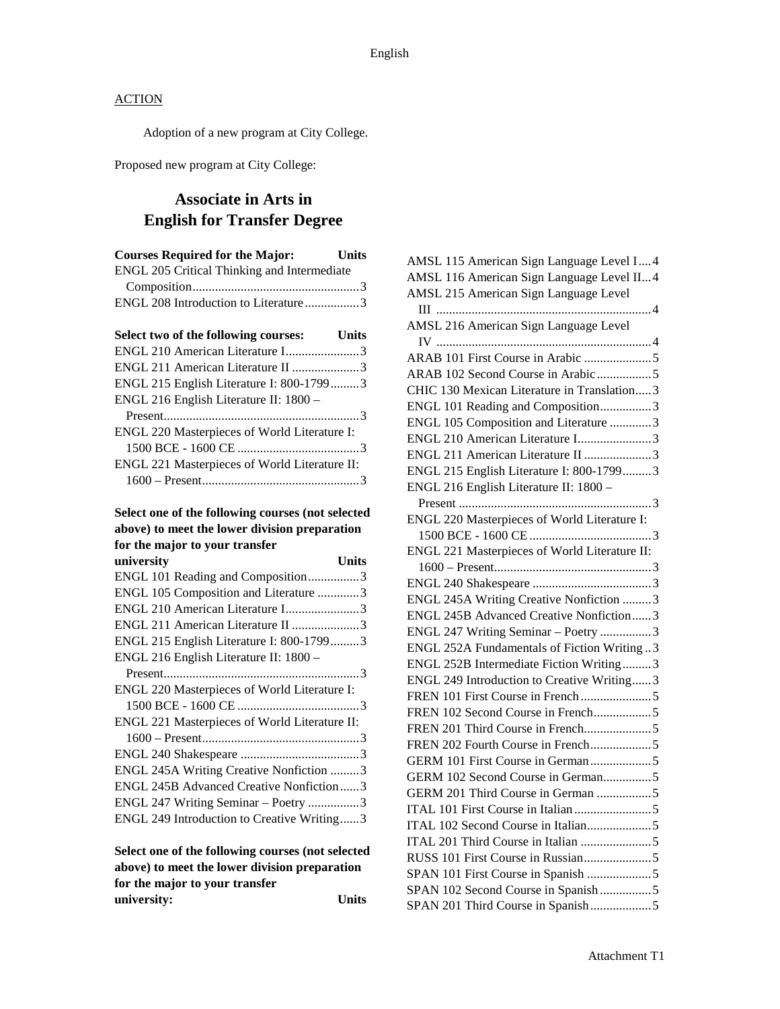Adoption of a new program at City College.

Proposed new program at City College:

### **Associate in Arts in English for Transfer Degree**

| <b>Courses Required for the Major:</b>        | <b>Units</b> |
|-----------------------------------------------|--------------|
| ENGL 205 Critical Thinking and Intermediate   |              |
|                                               |              |
| ENGL 208 Introduction to Literature3          |              |
|                                               |              |
| Select two of the following courses:          | Units        |
| ENGL 210 American Literature I3               |              |
| ENGL 211 American Literature II 3             |              |
| ENGL 215 English Literature I: 800-17993      |              |
| ENGL 216 English Literature II: 1800 -        |              |
|                                               |              |
| ENGL 220 Masterpieces of World Literature I:  |              |
|                                               |              |
| ENGL 221 Masterpieces of World Literature II: |              |
|                                               |              |

### **Select one of the following courses (not selected above) to meet the lower division preparation for the major to your transfer**

| university                                    | Units |
|-----------------------------------------------|-------|
| ENGL 101 Reading and Composition3             |       |
| ENGL 105 Composition and Literature 3         |       |
| ENGL 210 American Literature I3               |       |
| ENGL 211 American Literature II 3             |       |
| ENGL 215 English Literature I: 800-17993      |       |
| ENGL 216 English Literature II: 1800 -        |       |
|                                               |       |
| ENGL 220 Masterpieces of World Literature I:  |       |
|                                               |       |
| ENGL 221 Masterpieces of World Literature II: |       |
|                                               |       |
|                                               |       |
| ENGL 245A Writing Creative Nonfiction 3       |       |
| ENGL 245B Advanced Creative Nonfiction3       |       |
| ENGL 247 Writing Seminar – Poetry 3           |       |
| ENGL 249 Introduction to Creative Writing3    |       |
|                                               |       |

**Select one of the following courses (not selected above) to meet the lower division preparation for the major to your transfer university: Units**

| AMSL 115 American Sign Language Level I 4     |
|-----------------------------------------------|
| AMSL 116 American Sign Language Level II4     |
| AMSL 215 American Sign Language Level         |
|                                               |
| AMSL 216 American Sign Language Level         |
|                                               |
|                                               |
| ARAB 102 Second Course in Arabic 5            |
| CHIC 130 Mexican Literature in Translation3   |
| ENGL 101 Reading and Composition3             |
| ENGL 105 Composition and Literature 3         |
| ENGL 210 American Literature I3               |
| ENGL 211 American Literature II 3             |
| ENGL 215 English Literature I: 800-17993      |
| ENGL 216 English Literature II: 1800 -        |
|                                               |
| ENGL 220 Masterpieces of World Literature I:  |
|                                               |
| ENGL 221 Masterpieces of World Literature II: |
|                                               |
|                                               |
| ENGL 245A Writing Creative Nonfiction 3       |
| ENGL 245B Advanced Creative Nonfiction3       |
| ENGL 247 Writing Seminar - Poetry 3           |
| ENGL 252A Fundamentals of Fiction Writing 3   |
| ENGL 252B Intermediate Fiction Writing3       |
| ENGL 249 Introduction to Creative Writing3    |
|                                               |
| FREN 102 Second Course in French5             |
|                                               |
|                                               |
| GERM 101 First Course in German5              |
| GERM 102 Second Course in German5             |
| GERM 201 Third Course in German 5             |
|                                               |
|                                               |
|                                               |
|                                               |
| SPAN 101 First Course in Spanish 5            |
| SPAN 102 Second Course in Spanish5            |
| SPAN 201 Third Course in Spanish5             |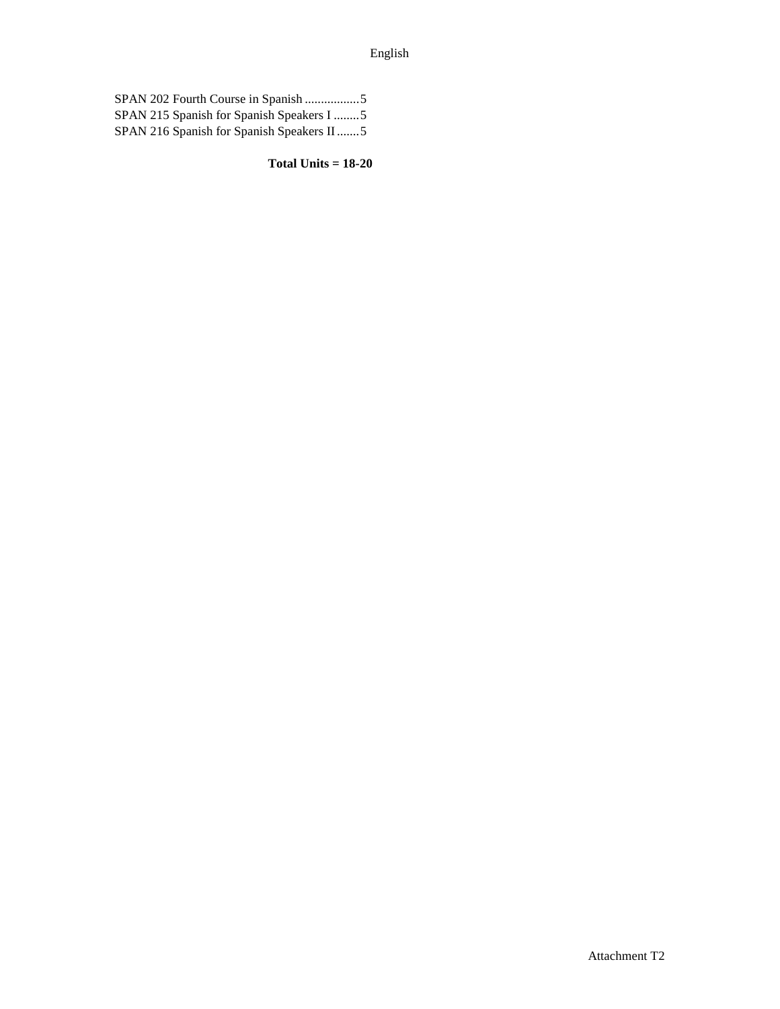| SPAN 215 Spanish for Spanish Speakers I 5 |
|-------------------------------------------|
| SPAN 216 Spanish for Spanish Speakers II5 |

**Total Units = 18-20**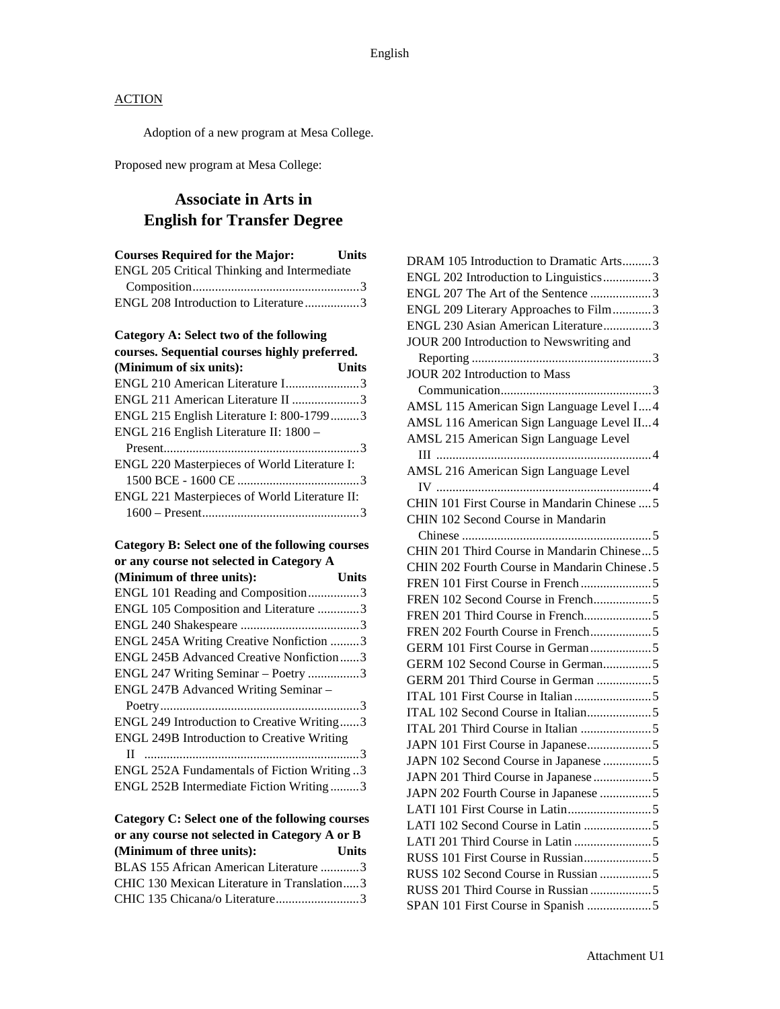Adoption of a new program at Mesa College.

Proposed new program at Mesa College:

### **Associate in Arts in English for Transfer Degree**

| <b>Courses Required for the Major:</b>      | <b>Units</b> |
|---------------------------------------------|--------------|
| ENGL 205 Critical Thinking and Intermediate |              |
|                                             |              |
| ENGL 208 Introduction to Literature 3       |              |

### **Category A: Select two of the following**

| courses. Sequential courses highly preferred. |              |
|-----------------------------------------------|--------------|
| (Minimum of six units):                       | <b>Units</b> |
| ENGL 210 American Literature I3               |              |
| ENGL 211 American Literature II 3             |              |
| ENGL 215 English Literature I: 800-17993      |              |
| ENGL 216 English Literature II: 1800 –        |              |
|                                               |              |
| ENGL 220 Masterpieces of World Literature I:  |              |
|                                               |              |
| ENGL 221 Masterpieces of World Literature II: |              |
|                                               |              |

| Category B: Select one of the following courses |  |
|-------------------------------------------------|--|
| or any course not selected in Category A        |  |

| (Minimum of three units):                         | Units |
|---------------------------------------------------|-------|
| ENGL 101 Reading and Composition3                 |       |
| ENGL 105 Composition and Literature 3             |       |
|                                                   |       |
| ENGL 245A Writing Creative Nonfiction 3           |       |
| <b>ENGL 245B Advanced Creative Nonfiction3</b>    |       |
| ENGL 247 Writing Seminar - Poetry 3               |       |
| ENGL 247B Advanced Writing Seminar -              |       |
|                                                   |       |
| ENGL 249 Introduction to Creative Writing3        |       |
| <b>ENGL 249B Introduction to Creative Writing</b> |       |
|                                                   |       |
| ENGL 252A Fundamentals of Fiction Writing3        |       |
| ENGL 252B Intermediate Fiction Writing3           |       |

| Category C: Select one of the following courses |       |
|-------------------------------------------------|-------|
| or any course not selected in Category A or B   |       |
| (Minimum of three units):                       | Units |
| BLAS 155 African American Literature 3          |       |
| CHIC 130 Mexican Literature in Translation3     |       |
| CHIC 135 Chicana/o Literature3                  |       |

| DRAM 105 Introduction to Dramatic Arts3       |
|-----------------------------------------------|
| ENGL 202 Introduction to Linguistics3         |
| ENGL 207 The Art of the Sentence 3            |
| ENGL 209 Literary Approaches to Film3         |
| ENGL 230 Asian American Literature3           |
| JOUR 200 Introduction to Newswriting and      |
|                                               |
| <b>JOUR 202 Introduction to Mass</b>          |
|                                               |
| AMSL 115 American Sign Language Level I4      |
| AMSL 116 American Sign Language Level II4     |
| AMSL 215 American Sign Language Level         |
|                                               |
| AMSL 216 American Sign Language Level         |
|                                               |
| CHIN 101 First Course in Mandarin Chinese  5  |
| CHIN 102 Second Course in Mandarin            |
|                                               |
| CHIN 201 Third Course in Mandarin Chinese5    |
| CHIN 202 Fourth Course in Mandarin Chinese. 5 |
|                                               |
| FREN 102 Second Course in French5             |
|                                               |
|                                               |
|                                               |
| GERM 102 Second Course in German5             |
| GERM 201 Third Course in German 5             |
|                                               |
| ITAL 102 Second Course in Italian5            |
|                                               |
| JAPN 101 First Course in Japanese5            |
| JAPN 102 Second Course in Japanese 5          |
| JAPN 201 Third Course in Japanese 5           |
| JAPN 202 Fourth Course in Japanese 5          |
|                                               |
|                                               |
|                                               |
|                                               |
| RUSS 102 Second Course in Russian 5           |
|                                               |
|                                               |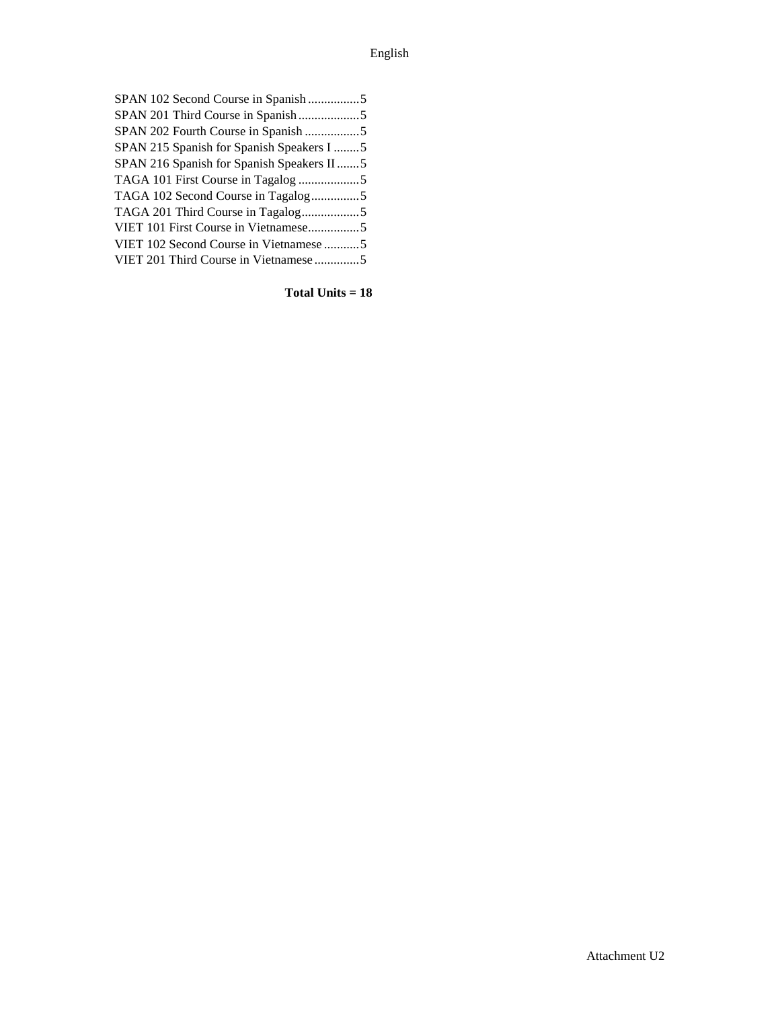| SPAN 102 Second Course in Spanish5        |  |
|-------------------------------------------|--|
|                                           |  |
| SPAN 202 Fourth Course in Spanish 5       |  |
| SPAN 215 Spanish for Spanish Speakers I 5 |  |
| SPAN 216 Spanish for Spanish Speakers II5 |  |
|                                           |  |
| TAGA 102 Second Course in Tagalog5        |  |
|                                           |  |
| VIET 101 First Course in Vietnamese5      |  |
| VIET 102 Second Course in Vietnamese 5    |  |
| VIET 201 Third Course in Vietnamese 5     |  |
|                                           |  |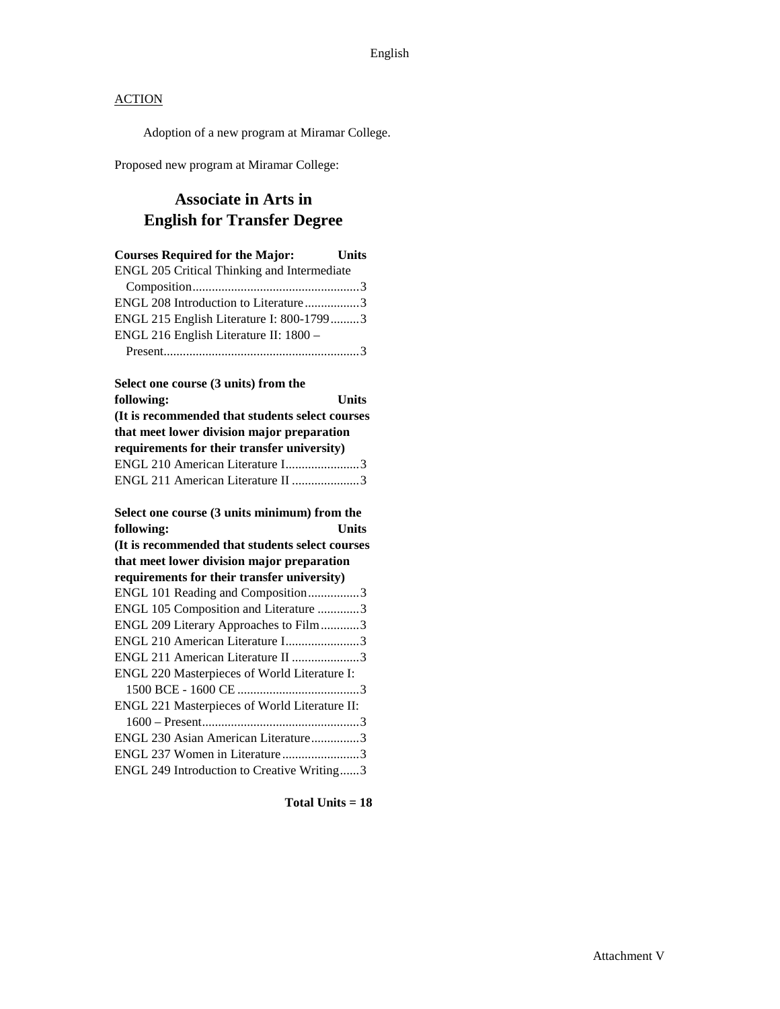Adoption of a new program at Miramar College.

Proposed new program at Miramar College:

### **Associate in Arts in English for Transfer Degree**

| <b>Courses Required for the Major:</b>          | <b>Units</b> |
|-------------------------------------------------|--------------|
| ENGL 205 Critical Thinking and Intermediate     |              |
|                                                 |              |
| ENGL 208 Introduction to Literature3            |              |
| ENGL 215 English Literature I: 800-17993        |              |
| ENGL 216 English Literature II: 1800 -          |              |
|                                                 |              |
| Select one course (3 units) from the            |              |
| following:                                      | Units        |
| (It is recommended that students select courses |              |
| that meet lower division major preparation      |              |
| requirements for their transfer university)     |              |
| ENGL 210 American Literature I3                 |              |
| ENGL 211 American Literature II 3               |              |
| Select one course (3 units minimum) from the    |              |
| following:                                      | <b>Units</b> |
| (It is recommended that students select courses |              |
| that meet lower division major preparation      |              |
| requirements for their transfer university)     |              |
| ENGL 101 Reading and Composition3               |              |
| ENGL 105 Composition and Literature 3           |              |
| ENGL 209 Literary Approaches to Film3           |              |
| ENGL 210 American Literature I3                 |              |
| ENGL 211 American Literature II 3               |              |

| LI VOLI 21 I TYMONGAN LITORATUR 11 J                |  |
|-----------------------------------------------------|--|
| <b>ENGL 220 Masterpieces of World Literature I:</b> |  |
|                                                     |  |
| ENGL 221 Masterpieces of World Literature II:       |  |
|                                                     |  |
| ENGL 230 Asian American Literature3                 |  |
| ENGL 237 Women in Literature3                       |  |
| ENGL 249 Introduction to Creative Writing3          |  |
|                                                     |  |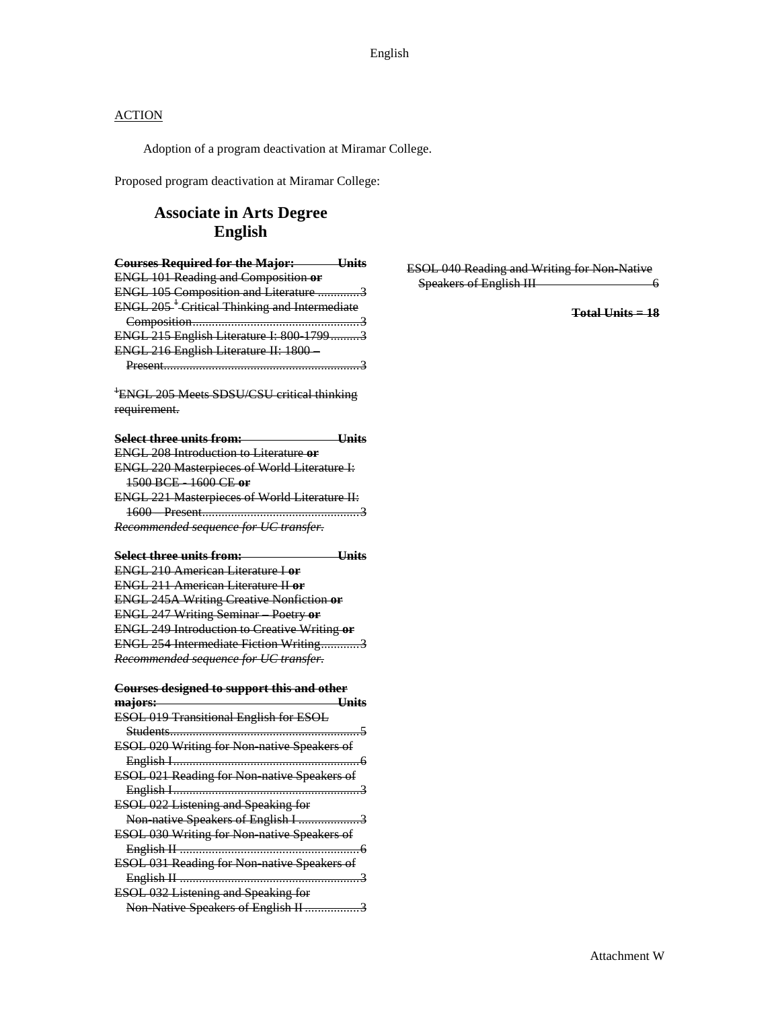Adoption of a program deactivation at Miramar College.

Proposed program deactivation at Miramar College:

### **Associate in Arts Degree English**

| <b>Courses Required for the Major: Units</b>             |
|----------------------------------------------------------|
| <b>ENGL 101 Reading and Composition or</b>               |
| ENGL 105 Composition and Literature 3                    |
| ENGL 205 <sup>+</sup> Critical Thinking and Intermediate |
|                                                          |
| ENGL 215 English Literature I: 800 17993                 |
| ENGL 216 English Literature II: 1800                     |
|                                                          |
| <sup>+</sup> ENGL 205 Meets SDSU/CSU critical thinking   |
| requirement.                                             |
|                                                          |
| Select three units from:<br><b>Units</b>                 |
| <b>ENGL 208 Introduction to Literature or</b>            |
| <b>ENGL 220 Masterpieces of World Literature I:</b>      |
| 1500 BCE 1600 CE or                                      |
| <b>ENGL 221 Masterpieces of World Literature II:</b>     |
|                                                          |
| Recommended sequence for UC transfer.                    |
|                                                          |
| <b>Example 1</b><br>Units<br>Select three units from:    |
| <b>ENGL 210 American Literature Lor</b>                  |
| <b>ENGL 211 American Literature II or</b>                |
| <b>ENGL 245A Writing Creative Nonfiction or</b>          |
| <b>ENGL 247 Writing Seminar Poetry or</b>                |
| <b>ENGL 249 Introduction to Creative Writing or</b>      |
| ENGL 254 Intermediate Fiction Writing3                   |
| Recommended sequence for UC transfer.                    |
| <b>Courses designed to support this and other</b>        |
| $\overline{\phantom{a}}$<br>majors:<br>—Units            |
| ESOL 019 Transitional English for ESOL                   |
|                                                          |
| ESOL 020 Writing for Non native Speakers of              |
|                                                          |
| ESOL 021 Reading for Non native Speakers of              |
|                                                          |
| <b>ESOL 022 Listening and Speaking for</b>               |
| Non native Speakers of English I 3                       |
| <b>ESOL 030 Writing for Non native Speakers of</b>       |
| <del>6</del>                                             |
| ESOL 031 Reading for Non native Speakers of              |
|                                                          |
| ESOL 032 Listening and Speaking for                      |
| Non Native Speakers of English II 3                      |
|                                                          |

ESOL 040 Reading and Writing for Non-Native Speakers of English III 6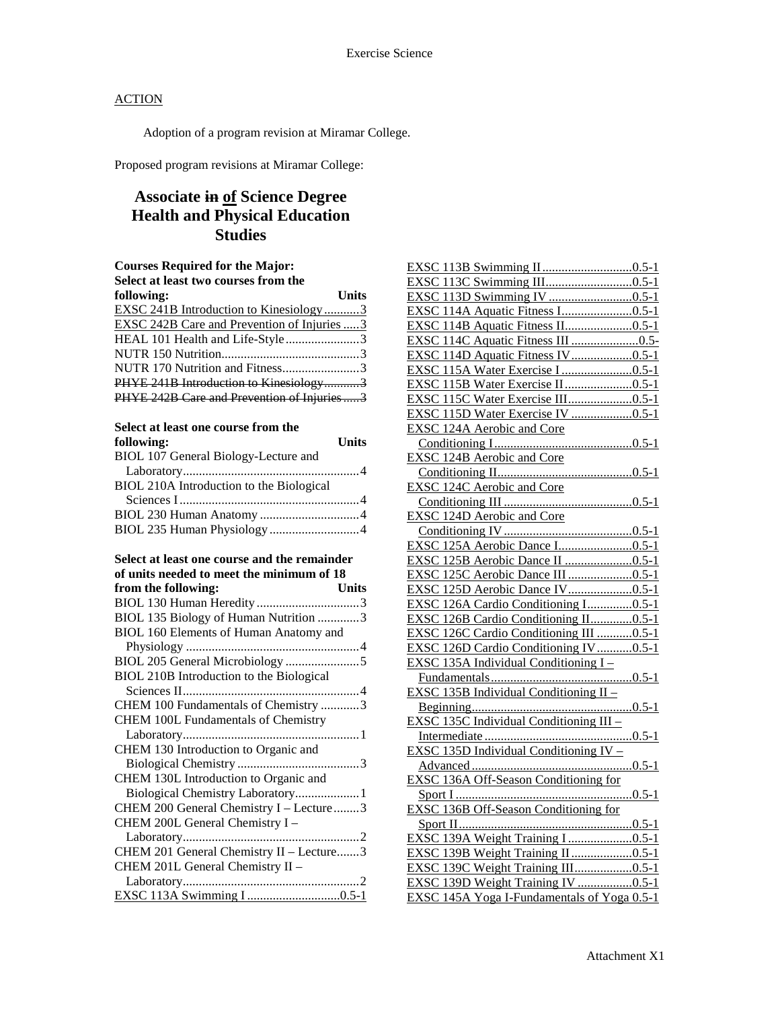**following: Units**

### **ACTION**

Adoption of a program revision at Miramar College.

Proposed program revisions at Miramar College:

### **Associate in of Science Degree Health and Physical Education Studies**

| <b>Courses Required for the Major:</b>        |       |
|-----------------------------------------------|-------|
| Select at least two courses from the          |       |
| following:                                    | Units |
| <b>EXSC 241B Introduction to Kinesiology3</b> |       |
| EXSC 242B Care and Prevention of Injuries  3  |       |
| HEAL 101 Health and Life-Style3               |       |
|                                               |       |
| NUTR 170 Nutrition and Fitness3               |       |
| PHYE 241B Introduction to Kinesiology3        |       |
| PHYE 242B Care and Prevention of Injuries3    |       |
|                                               |       |

| Select at least one course from the |  |
|-------------------------------------|--|
| following:                          |  |

| BIOL 107 General Biology-Lecture and     |  |
|------------------------------------------|--|
|                                          |  |
| BIOL 210A Introduction to the Biological |  |
|                                          |  |
|                                          |  |
|                                          |  |
|                                          |  |

**Select at least one course and the remainder of units needed to meet the minimum of 18** 

| from the following:                      | <b>Units</b> |
|------------------------------------------|--------------|
|                                          |              |
| BIOL 135 Biology of Human Nutrition 3    |              |
| BIOL 160 Elements of Human Anatomy and   |              |
|                                          |              |
|                                          |              |
| BIOL 210B Introduction to the Biological |              |
|                                          |              |
| CHEM 100 Fundamentals of Chemistry 3     |              |
| CHEM 100L Fundamentals of Chemistry      |              |
|                                          |              |
| CHEM 130 Introduction to Organic and     |              |
|                                          |              |
| CHEM 130L Introduction to Organic and    |              |
| Biological Chemistry Laboratory1         |              |
| CHEM 200 General Chemistry I - Lecture 3 |              |
| CHEM 200L General Chemistry I -          |              |
|                                          |              |
| CHEM 201 General Chemistry II - Lecture3 |              |
| CHEM 201L General Chemistry II -         |              |
|                                          |              |
|                                          |              |

| <b>EXSC 115B Water Exercise II0.5-1</b>            |
|----------------------------------------------------|
| EXSC 115C Water Exercise III0.5-1                  |
|                                                    |
|                                                    |
|                                                    |
| EXSC 124B Aerobic and Core                         |
|                                                    |
| <b>EXSC 124C Aerobic and Core</b>                  |
|                                                    |
| <b>EXSC 124D Aerobic and Core</b>                  |
|                                                    |
|                                                    |
|                                                    |
| EXSC 125C Aerobic Dance III 0.5-1                  |
|                                                    |
| EXSC 126A Cardio Conditioning I0.5-1               |
| EXSC 126B Cardio Conditioning II0.5-1              |
| EXSC 126C Cardio Conditioning III 0.5-1            |
| EXSC 126D Cardio Conditioning IV0.5-1              |
| EXSC 135A Individual Conditioning $I -$            |
|                                                    |
| EXSC 135B Individual Conditioning II -             |
|                                                    |
| EXSC 135C Individual Conditioning III -            |
|                                                    |
| EXSC 135D Individual Conditioning IV -             |
|                                                    |
| <b>EXSC 136A Off-Season Conditioning for</b>       |
|                                                    |
|                                                    |
|                                                    |
| EXSC 139A Weight Training I 0.5-1                  |
|                                                    |
|                                                    |
| EXSC 139D Weight Training IV 0.5-1                 |
| <b>EXSC 145A Yoga I-Fundamentals of Yoga 0.5-1</b> |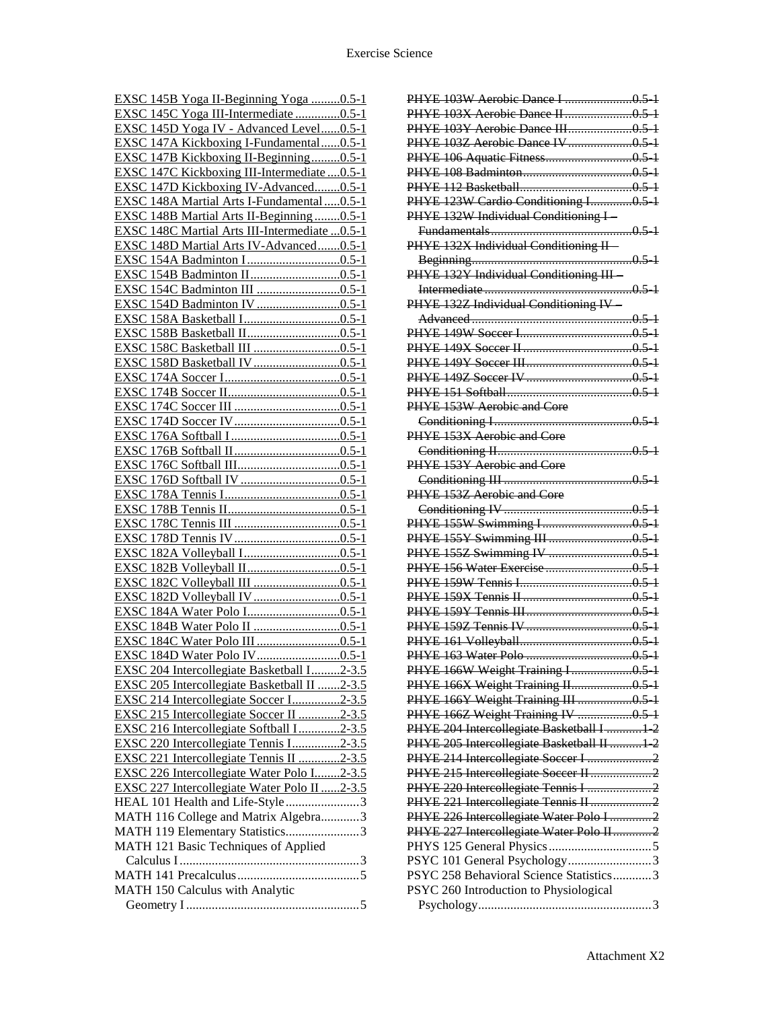| EXSC 145B Yoga II-Beginning Yoga 0.5-1         |
|------------------------------------------------|
| EXSC 145C Yoga III-Intermediate 0.5-1          |
| EXSC 145D Yoga IV - Advanced Level0.5-1        |
| EXSC 147A Kickboxing I-Fundamental0.5-1        |
| EXSC 147B Kickboxing II-Beginning0.5-1         |
| EXSC 147C Kickboxing III-Intermediate  0.5-1   |
| EXSC 147D Kickboxing IV-Advanced0.5-1          |
| EXSC 148A Martial Arts I-Fundamental  0.5-1    |
| EXSC 148B Martial Arts II-Beginning 0.5-1      |
| EXSC 148C Martial Arts III-Intermediate  0.5-1 |
| EXSC 148D Martial Arts IV-Advanced0.5-1        |
|                                                |
| <b>EXSC</b>                                    |
|                                                |
| EXSC 154D Badminton IV 0.5-1                   |
|                                                |
|                                                |
|                                                |
|                                                |
|                                                |
|                                                |
|                                                |
|                                                |
|                                                |
| EXSC                                           |
| <b>EXSC</b>                                    |
|                                                |
|                                                |
|                                                |
|                                                |
|                                                |
|                                                |
|                                                |
|                                                |
|                                                |
|                                                |
|                                                |
|                                                |
|                                                |
| EXSC 204 Intercollegiate Basketball I2-3.5     |
| EXSC 205 Intercollegiate Basketball II 2-3.5   |
| EXSC 214 Intercollegiate Soccer I2-3.5         |
| EXSC 215 Intercollegiate Soccer II 2-3.5       |
| EXSC 216 Intercollegiate Softball I2-3.5       |
| EXSC 220 Intercollegiate Tennis I2-3.5         |
| EXSC 221 Intercollegiate Tennis II 2-3.5       |
| EXSC 226 Intercollegiate Water Polo I2-3.5     |
| EXSC 227 Intercollegiate Water Polo II 2-3.5   |
| HEAL 101 Health and Life-Style3                |
| MATH 116 College and Matrix Algebra3           |
| MATH 119 Elementary Statistics3                |
| MATH 121 Basic Techniques of Applied           |
|                                                |
|                                                |
| MATH 150 Calculus with Analytic                |
|                                                |
|                                                |

| PHYE 103Y Aerobic Dance III0.5-1            |  |
|---------------------------------------------|--|
| PHYE 103Z Aerobic Dance IV  0.5 1           |  |
|                                             |  |
|                                             |  |
|                                             |  |
| PHYE 123W Cardio Conditioning I0.5-1        |  |
| PHYE 132W Individual Conditioning I         |  |
|                                             |  |
| PHYE 132X Individual Conditioning II-       |  |
|                                             |  |
|                                             |  |
| PHYE 132Y Individual Conditioning III-      |  |
|                                             |  |
| PHYE 132Z Individual Conditioning IV-       |  |
|                                             |  |
|                                             |  |
|                                             |  |
|                                             |  |
|                                             |  |
|                                             |  |
| PHYE 153W Aerobic and Core                  |  |
|                                             |  |
| PHYE 153X Aerobic and Core                  |  |
|                                             |  |
| PHYE 153Y Aerobic and Core                  |  |
|                                             |  |
|                                             |  |
| PHYE 153Z Aerobic and Core                  |  |
|                                             |  |
|                                             |  |
|                                             |  |
|                                             |  |
|                                             |  |
|                                             |  |
|                                             |  |
|                                             |  |
|                                             |  |
|                                             |  |
|                                             |  |
| PHYE 166W Weight Training I0.5 1            |  |
| PHYE 166X Weight Training II0.5-1           |  |
| PHYE 166Y Weight Training III  0.5 1        |  |
| PHYE 166Z Weight Training IV 0.5 1          |  |
|                                             |  |
| PHYE 204 Intercollegiate Basketball I  1 2  |  |
| PHYE 205 Intercollegiate Basketball II  1 2 |  |
| PHYE 214 Intercollegiate Soccer I 2         |  |
| PHYE 215 Intercollegiate Soccer II 2        |  |
| PHYE 220 Intercollegiate Tennis I  2        |  |
| PHYE 221 Intercollegiate Tennis II 2        |  |
| PHYE 226 Intercollegiate Water Polo I  2    |  |
| PHYE 227 Intercollegiate Water Polo II 2    |  |
|                                             |  |
| PSYC 101 General Psychology3                |  |
| PSYC 258 Behavioral Science Statistics3     |  |
| PSYC 260 Introduction to Physiological      |  |
|                                             |  |
|                                             |  |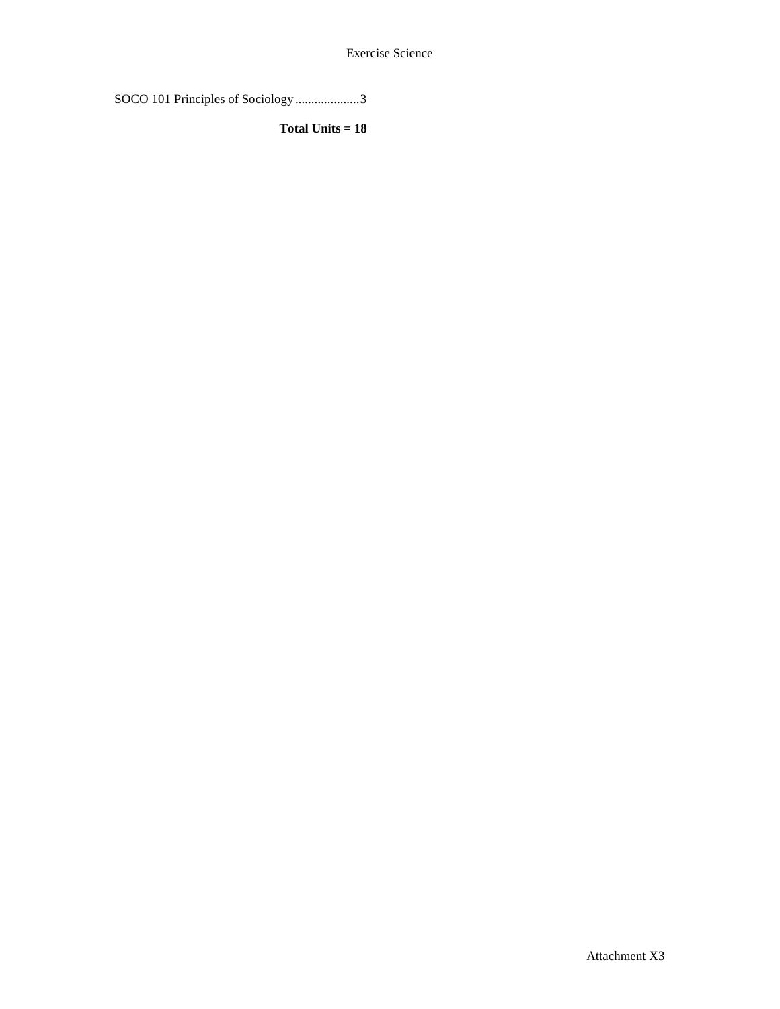Exercise Science

SOCO 101 Principles of Sociology ....................3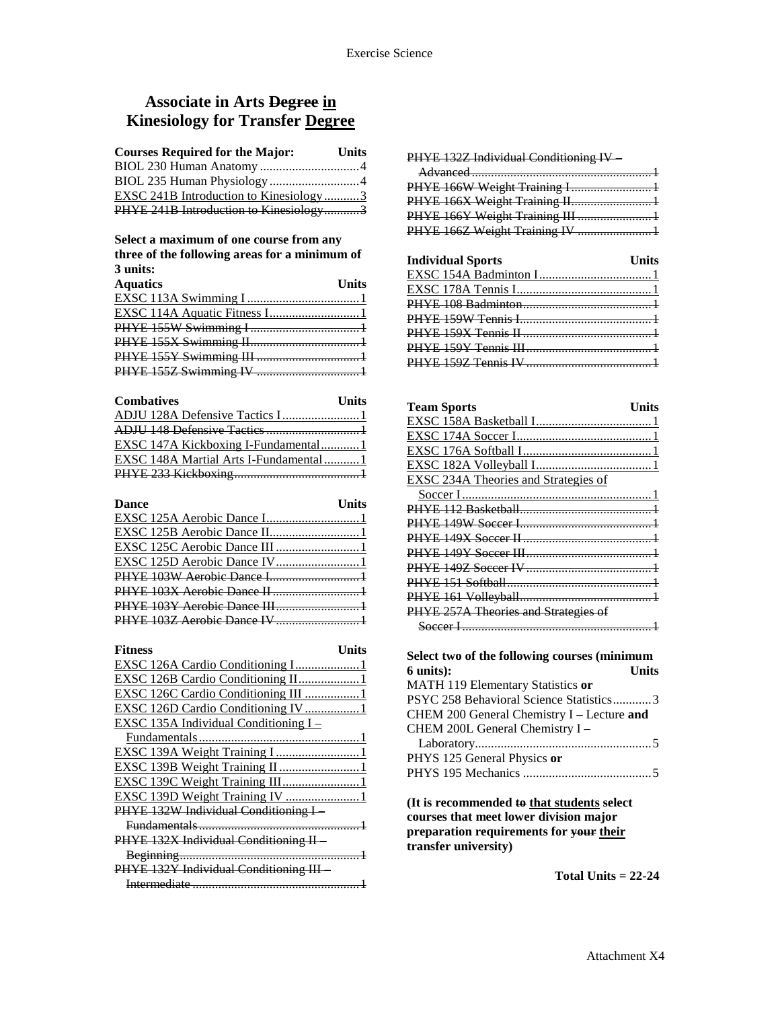### **Associate in Arts Degree in Kinesiology for Transfer Degree**

| <b>Courses Required for the Major:</b> | <b>Units</b> |
|----------------------------------------|--------------|
|                                        |              |
| BIOL 235 Human Physiology 4            |              |
| EXSC 241B Introduction to Kinesiology3 |              |
| PHYE 241B Introduction to Kinesiology3 |              |

#### **Select a maximum of one course from any three of the following areas for a minimum of 3 units:**

| v umuv.         |       |
|-----------------|-------|
| <b>Aquatics</b> | Units |
|                 |       |
|                 |       |
|                 |       |
|                 |       |
|                 |       |
|                 |       |
|                 |       |

| <b>Combatives</b>                          | <b>Units</b> |
|--------------------------------------------|--------------|
| ADJU 128A Defensive Tactics I1             |              |
|                                            |              |
| <b>EXSC 147A Kickboxing I-Fundamental1</b> |              |
| EXSC 148A Martial Arts I-Fundamental1      |              |
|                                            |              |

| <b>Units</b><br><b>Dance</b> |  |
|------------------------------|--|
| EXSC 125A Aerobic Dance I1   |  |
|                              |  |
|                              |  |
| EXSC 125D Aerobic Dance IV1  |  |
| PHYE 103W Aerobic Dance I1   |  |
|                              |  |
| PHYE 103Y Aerobic Dance III1 |  |
| PHYE 103Z Aerobie Dance IV 1 |  |
|                              |  |

| <b>Fitness</b><br>Units                |
|----------------------------------------|
| EXSC 126A Cardio Conditioning I1       |
| EXSC 126B Cardio Conditioning II 1     |
| EXSC 126C Cardio Conditioning III  1   |
| EXSC 126D Cardio Conditioning IV  1    |
| EXSC 135A Individual Conditioning I -  |
|                                        |
|                                        |
| EXSC 139B Weight Training II 1         |
| EXSC 139C Weight Training III1         |
| EXSC 139D Weight Training IV 1         |
| PHYE 132W Individual Conditioning I-   |
|                                        |
| PHYE 132X Individual Conditioning II   |
|                                        |
| PHYE 132Y Individual Conditioning III- |
|                                        |

PHYE 132Z Individual Conditioning IV –

| PHYE 166W Weight Training I 1   |  |
|---------------------------------|--|
| PHYE 166X Weight Training II 1  |  |
|                                 |  |
| PHYE 166Z Weight Training IV  1 |  |
|                                 |  |

| <b>Individual Sports</b> | Units |
|--------------------------|-------|
|                          |       |
|                          |       |
|                          |       |
|                          |       |
|                          |       |
|                          |       |
|                          |       |
|                          |       |

| <b>Team Sports</b>                           | <b>Units</b> |
|----------------------------------------------|--------------|
|                                              |              |
|                                              |              |
|                                              |              |
|                                              |              |
| <b>EXSC 234A Theories and Strategies of</b>  |              |
|                                              |              |
|                                              |              |
|                                              |              |
|                                              |              |
|                                              |              |
|                                              |              |
|                                              |              |
|                                              |              |
| PHYE 257A Theories and Strategies of         |              |
|                                              |              |
|                                              |              |
| Select two of the following courses (minimum |              |
| 6 units):                                    | <b>Units</b> |
| MATH 119 Elementary Statistics or            |              |
| PSYC 258 Behavioral Science Statistics3      |              |
| CHEM 200 General Chemistry I - Lecture and   |              |
| CHEM 200L General Chemistry I-               |              |
|                                              |              |
|                                              |              |

PHYS 125 General Physics **or** PHYS 195 Mechanics ........................................5

**(It is recommended to that students select courses that meet lower division major preparation requirements for your their transfer university)**

**Total Units = 22-24**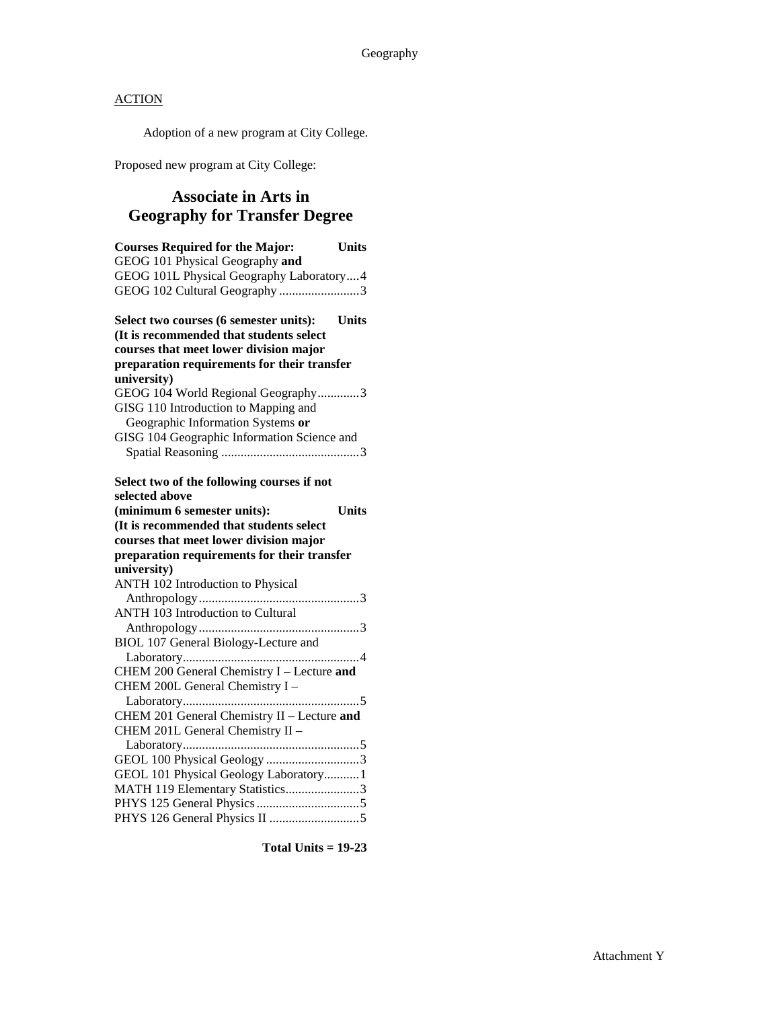Adoption of a new program at City College.

Proposed new program at City College:

### **Associate in Arts in Geography for Transfer Degree**

| <b>Courses Required for the Major:</b><br><b>Units</b><br>GEOG 101 Physical Geography and<br>GEOG 101L Physical Geography Laboratory4 |  |
|---------------------------------------------------------------------------------------------------------------------------------------|--|
| GEOG 102 Cultural Geography 3                                                                                                         |  |
| <b>Units</b><br>Select two courses (6 semester units):<br>(It is recommended that students select                                     |  |
| courses that meet lower division major<br>preparation requirements for their transfer                                                 |  |
| university)                                                                                                                           |  |
| GEOG 104 World Regional Geography3                                                                                                    |  |
| GISG 110 Introduction to Mapping and<br>Geographic Information Systems or                                                             |  |
| GISG 104 Geographic Information Science and                                                                                           |  |
|                                                                                                                                       |  |
| Select two of the following courses if not                                                                                            |  |
| selected above                                                                                                                        |  |
| (minimum 6 semester units):<br><b>Units</b>                                                                                           |  |
| (It is recommended that students select                                                                                               |  |
| courses that meet lower division major                                                                                                |  |
|                                                                                                                                       |  |
| preparation requirements for their transfer                                                                                           |  |
| university)                                                                                                                           |  |
| ANTH 102 Introduction to Physical                                                                                                     |  |
|                                                                                                                                       |  |
| <b>ANTH 103 Introduction to Cultural</b>                                                                                              |  |
|                                                                                                                                       |  |
| BIOL 107 General Biology-Lecture and                                                                                                  |  |
| CHEM 200 General Chemistry I - Lecture and                                                                                            |  |
| CHEM 200L General Chemistry I -                                                                                                       |  |
|                                                                                                                                       |  |
|                                                                                                                                       |  |
| CHEM 201 General Chemistry II - Lecture and<br>CHEM 201L General Chemistry II -                                                       |  |
|                                                                                                                                       |  |
| GEOL 100 Physical Geology 3                                                                                                           |  |
| GEOL 101 Physical Geology Laboratory 1                                                                                                |  |
| MATH 119 Elementary Statistics3                                                                                                       |  |
|                                                                                                                                       |  |

**Total Units = 19-23**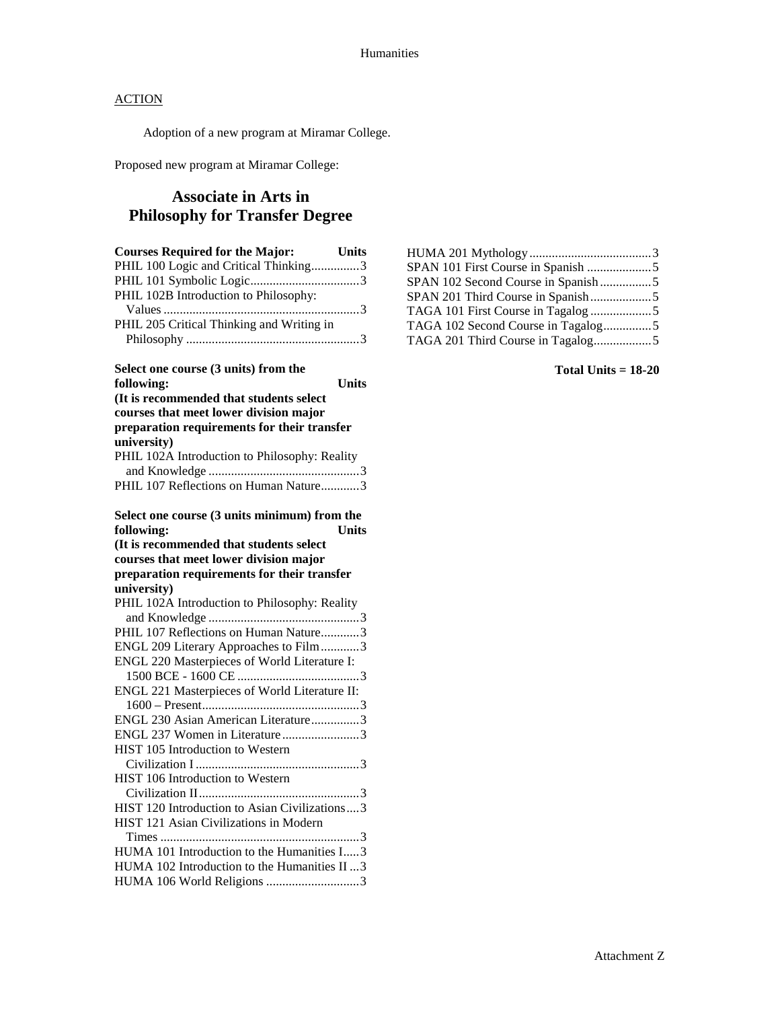Adoption of a new program at Miramar College.

Proposed new program at Miramar College:

### **Associate in Arts in Philosophy for Transfer Degree**

| <b>Courses Required for the Major:</b>        | <b>Units</b> |
|-----------------------------------------------|--------------|
| PHIL 100 Logic and Critical Thinking3         |              |
|                                               |              |
| PHIL 102B Introduction to Philosophy:         |              |
|                                               |              |
| PHIL 205 Critical Thinking and Writing in     |              |
|                                               |              |
|                                               |              |
| Select one course (3 units) from the          |              |
| following:                                    | <b>Units</b> |
| (It is recommended that students select       |              |
| courses that meet lower division major        |              |
| preparation requirements for their transfer   |              |
| university)                                   |              |
| PHIL 102A Introduction to Philosophy: Reality |              |
|                                               |              |
| PHIL 107 Reflections on Human Nature3         |              |
|                                               |              |
| Select one course (3 units minimum) from the  |              |
| following:                                    | <b>Units</b> |
| (It is recommended that students select       |              |
| courses that meet lower division major        |              |
| preparation requirements for their transfer   |              |
| university)                                   |              |
| PHIL 102A Introduction to Philosophy: Reality |              |
|                                               |              |
| PHIL 107 Reflections on Human Nature3         |              |
| ENGL 209 Literary Approaches to Film3         |              |
| ENGL 220 Masterpieces of World Literature I:  |              |
|                                               |              |
| ENGL 221 Masterpieces of World Literature II: |              |
|                                               |              |
| ENGL 230 Asian American Literature3           |              |
| ENGL 237 Women in Literature3                 |              |
| HIST 105 Introduction to Western              |              |
|                                               |              |
| HIST 106 Introduction to Western              |              |
|                                               |              |
| HIST 120 Introduction to Asian Civilizations3 |              |
| HIST 121 Asian Civilizations in Modern        |              |
|                                               |              |
| HUMA 101 Introduction to the Humanities I3    |              |
| HUMA 102 Introduction to the Humanities II  3 |              |
| HUMA 106 World Religions 3                    |              |
|                                               |              |

| SPAN 102 Second Course in Spanish5 |  |
|------------------------------------|--|
|                                    |  |
|                                    |  |
| TAGA 102 Second Course in Tagalog5 |  |
|                                    |  |
|                                    |  |

#### **Total Units = 18-20**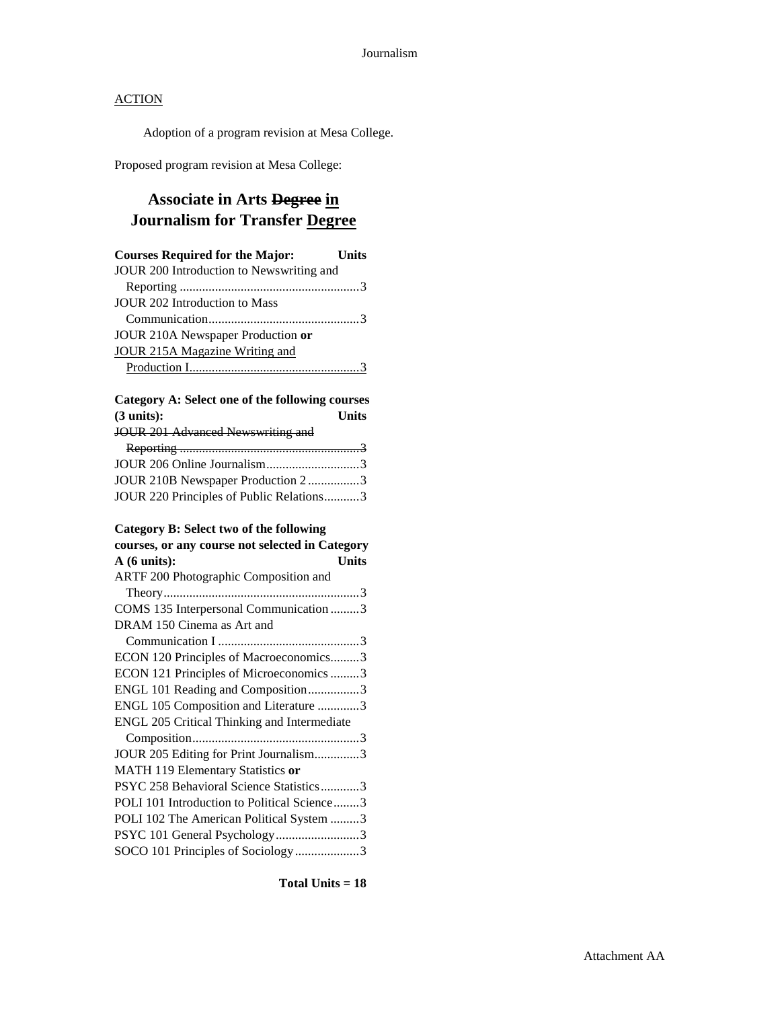Adoption of a program revision at Mesa College.

Proposed program revision at Mesa College:

### **Associate in Arts Degree in Journalism for Transfer Degree**

| <b>Courses Required for the Major:</b>   | <b>Units</b> |
|------------------------------------------|--------------|
| JOUR 200 Introduction to Newswriting and |              |
|                                          |              |
| JOUR 202 Introduction to Mass            |              |
|                                          |              |
| JOUR 210A Newspaper Production or        |              |
| JOUR 215A Magazine Writing and           |              |
|                                          |              |

### **Category A: Select one of the following courses (3 units): Units**

| JOUR 201 Advanced Newswriting and        |  |
|------------------------------------------|--|
|                                          |  |
| JOUR 206 Online Journalism3              |  |
| JOUR 210B Newspaper Production 23        |  |
| JOUR 220 Principles of Public Relations3 |  |

### **Category B: Select two of the following**

| courses, or any course not selected in Category |  |
|-------------------------------------------------|--|
| A(6 units):<br><b>Units</b>                     |  |
| ARTF 200 Photographic Composition and           |  |
|                                                 |  |
| COMS 135 Interpersonal Communication 3          |  |
| DRAM 150 Cinema as Art and                      |  |
|                                                 |  |
| ECON 120 Principles of Macroeconomics3          |  |
| ECON 121 Principles of Microeconomics 3         |  |
| ENGL 101 Reading and Composition3               |  |
| ENGL 105 Composition and Literature 3           |  |
| ENGL 205 Critical Thinking and Intermediate     |  |
|                                                 |  |
| JOUR 205 Editing for Print Journalism3          |  |
| MATH 119 Elementary Statistics or               |  |
| PSYC 258 Behavioral Science Statistics3         |  |
| POLI 101 Introduction to Political Science3     |  |
| POLI 102 The American Political System 3        |  |
| PSYC 101 General Psychology3                    |  |
| SOCO 101 Principles of Sociology3               |  |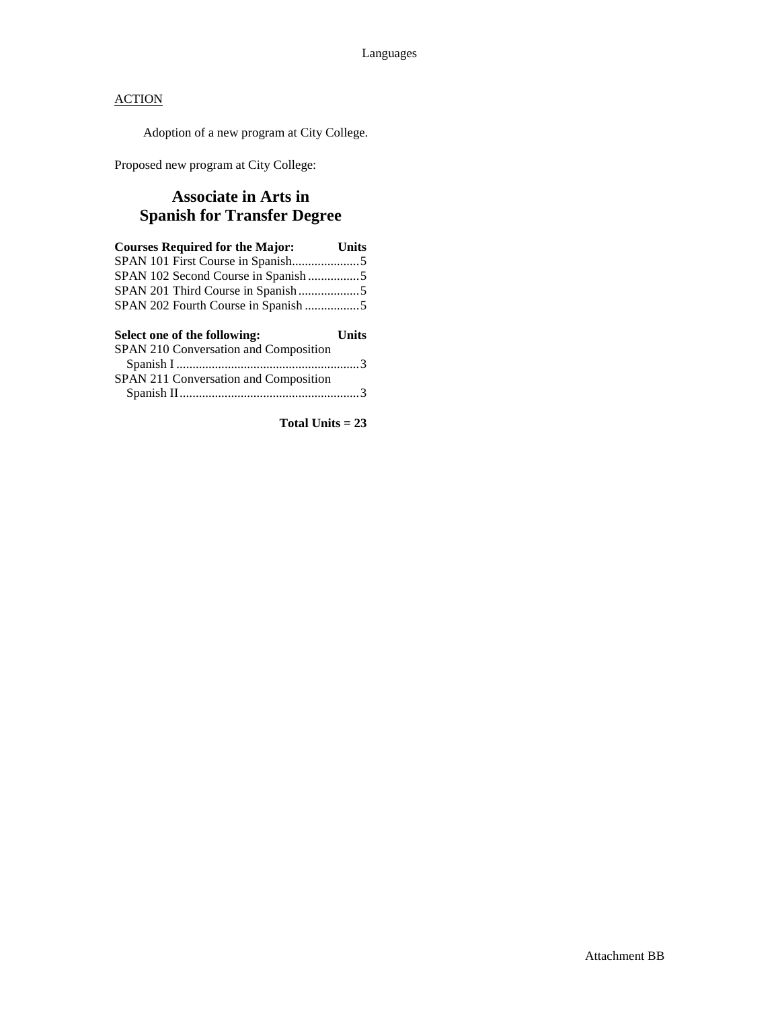Adoption of a new program at City College.

Proposed new program at City College:

### **Associate in Arts in Spanish for Transfer Degree**

| <b>Courses Required for the Major:</b>                                | <b>Units</b> |
|-----------------------------------------------------------------------|--------------|
|                                                                       |              |
| SPAN 102 Second Course in Spanish5                                    |              |
|                                                                       |              |
|                                                                       |              |
|                                                                       |              |
|                                                                       | Units        |
| Select one of the following:<br>SPAN 210 Conversation and Composition |              |
|                                                                       |              |
| SPAN 211 Conversation and Composition                                 |              |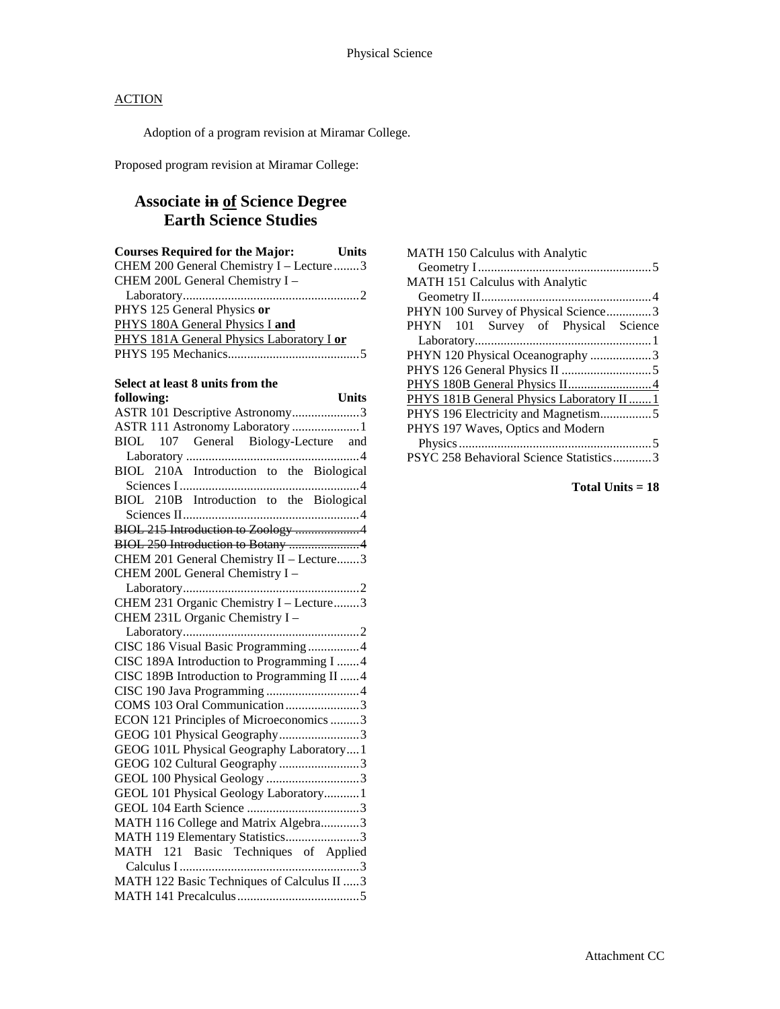Adoption of a program revision at Miramar College.

Proposed program revision at Miramar College:

### **Associate in of Science Degree Earth Science Studies**

| <b>Courses Required for the Major:</b> Units |
|----------------------------------------------|
| CHEM 200 General Chemistry I - Lecture 3     |
| CHEM 200L General Chemistry I -              |
|                                              |
| PHYS 125 General Physics or                  |
| PHYS 180A General Physics I and              |
| PHYS 181A General Physics Laboratory I or    |
|                                              |
|                                              |
| Select at least 8 units from the             |
| following:<br>Units                          |
| ASTR 101 Descriptive Astronomy3              |
| ASTR 111 Astronomy Laboratory 1              |
| BIOL 107 General Biology-Lecture and         |
|                                              |
| BIOL 210A Introduction to the Biological     |
|                                              |
| BIOL 210B Introduction to the Biological     |
|                                              |
| BIOL 215 Introduction to Zoology 4           |
| BIOL 250 Introduction to Botany 4            |
| CHEM 201 General Chemistry II - Lecture3     |
| CHEM 200L General Chemistry I -              |
|                                              |
| CHEM 231 Organic Chemistry I - Lecture3      |
| CHEM 231L Organic Chemistry I -              |
|                                              |
| CISC 186 Visual Basic Programming4           |
| CISC 189A Introduction to Programming I 4    |
| CISC 189B Introduction to Programming II 4   |
|                                              |
| COMS 103 Oral Communication 3                |
| ECON 121 Principles of Microeconomics 3      |
| GEOG 101 Physical Geography3                 |
| GEOG 101L Physical Geography Laboratory1     |
| GEOG 102 Cultural Geography 3                |
| GEOL 100 Physical Geology 3                  |
| GEOL 101 Physical Geology Laboratory1        |
|                                              |
| MATH 116 College and Matrix Algebra3         |
| MATH 119 Elementary Statistics3              |
| MATH 121 Basic Techniques of Applied         |
|                                              |

MATH 122 Basic Techniques of Calculus II .....3 MATH 141 Precalculus......................................5

| <b>MATH 150 Calculus with Analytic</b>    |
|-------------------------------------------|
| MATH 151 Calculus with Analytic           |
|                                           |
| PHYN 100 Survey of Physical Science3      |
| PHYN 101 Survey of Physical Science       |
|                                           |
| PHYN 120 Physical Oceanography 3          |
|                                           |
|                                           |
| PHYS 181B General Physics Laboratory II 1 |
|                                           |
| PHYS 197 Waves, Optics and Modern         |
|                                           |
| PSYC 258 Behavioral Science Statistics3   |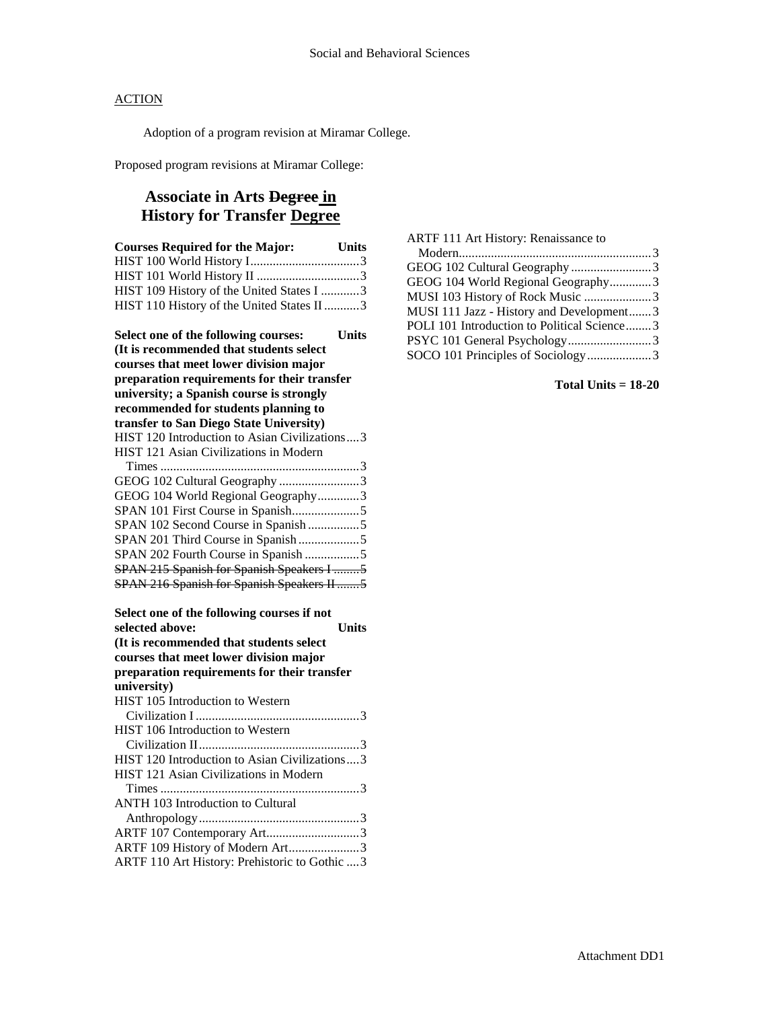Adoption of a program revision at Miramar College.

Proposed program revisions at Miramar College:

### **Associate in Arts Degree in History for Transfer Degree**

| <b>Courses Required for the Major:</b><br>Units      |
|------------------------------------------------------|
|                                                      |
|                                                      |
| HIST 109 History of the United States I 3            |
| HIST 110 History of the United States II 3           |
| Select one of the following courses:<br><b>Units</b> |
| (It is recommended that students select              |
| courses that meet lower division major               |
| preparation requirements for their transfer          |
| university; a Spanish course is strongly             |
| recommended for students planning to                 |
| transfer to San Diego State University)              |
| HIST 120 Introduction to Asian Civilizations3        |
| HIST 121 Asian Civilizations in Modern               |
| GEOG 102 Cultural Geography 3                        |
| GEOG 104 World Regional Geography3                   |
| SPAN 101 First Course in Spanish5                    |
| SPAN 102 Second Course in Spanish 5                  |
| SPAN 201 Third Course in Spanish5                    |
| SPAN 202 Fourth Course in Spanish 5                  |
| SPAN 215 Spanish for Spanish Speakers I 5            |
| SPAN 216 Spanish for Spanish Speakers II5            |
|                                                      |
| Select one of the following courses if not           |
| Units<br>selected above:                             |
| (It is recommended that students select              |
| courses that meet lower division major               |
| preparation requirements for their transfer          |
| university)                                          |
| HIST 105 Introduction to Western                     |
|                                                      |
| HIST 106 Introduction to Western                     |
|                                                      |
| HIST 120 Introduction to Asian Civilizations3        |
| HIST 121 Asian Civilizations in Modern               |
| ANTH 103 Introduction to Cultural                    |
|                                                      |
| ARTF 107 Contemporary Art3                           |
| ARTF 109 History of Modern Art3                      |
| ARTF 110 Art History: Prehistoric to Gothic  3       |

| ARTF 111 Art History: Renaissance to        |  |
|---------------------------------------------|--|
|                                             |  |
| GEOG 102 Cultural Geography 3               |  |
| GEOG 104 World Regional Geography3          |  |
| MUSI 103 History of Rock Music 3            |  |
| MUSI 111 Jazz - History and Development3    |  |
| POLI 101 Introduction to Political Science3 |  |
| PSYC 101 General Psychology3                |  |
| SOCO 101 Principles of Sociology3           |  |
|                                             |  |

#### **Total Units = 18-20**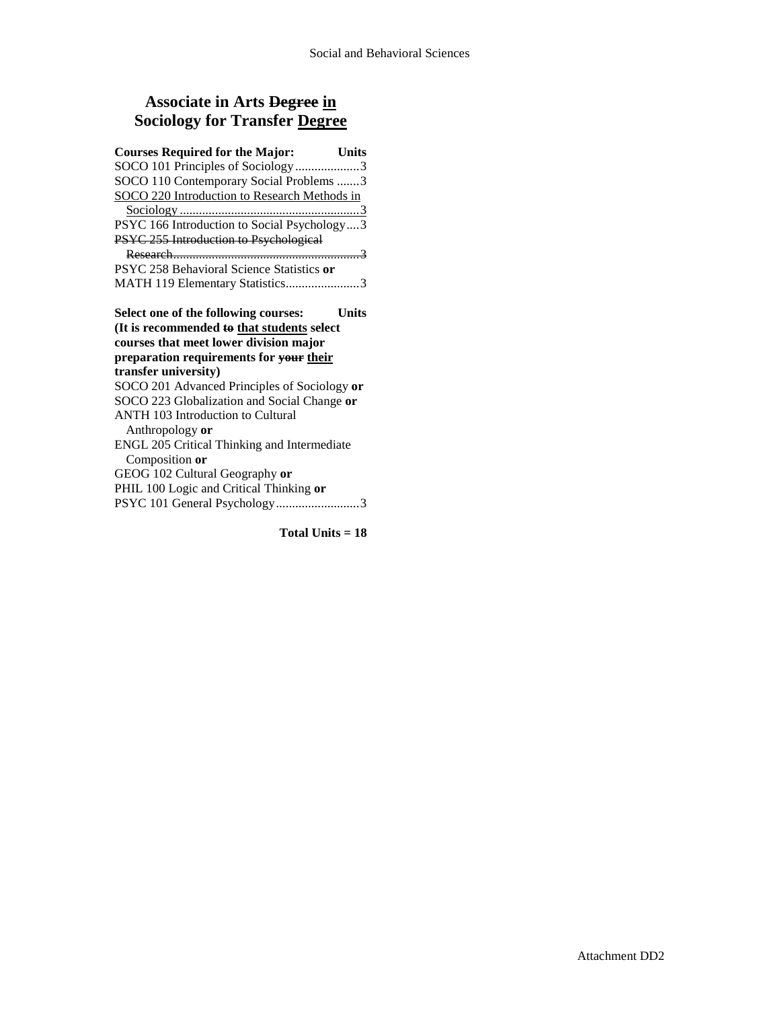### **Associate in Arts Degree in Sociology for Transfer Degree**

| <b>Courses Required for the Major:</b><br><b>Units</b>                                      |  |
|---------------------------------------------------------------------------------------------|--|
| SOCO 101 Principles of Sociology3                                                           |  |
| SOCO 110 Contemporary Social Problems 3                                                     |  |
| SOCO 220 Introduction to Research Methods in                                                |  |
|                                                                                             |  |
| PSYC 166 Introduction to Social Psychology3                                                 |  |
| PSYC 255 Introduction to Psychological                                                      |  |
|                                                                                             |  |
| PSYC 258 Behavioral Science Statistics or                                                   |  |
| MATH 119 Elementary Statistics3                                                             |  |
| Select one of the following courses:<br>Units<br>(It is recommended to that students select |  |
| courses that meet lower division major                                                      |  |
| preparation requirements for your their                                                     |  |
| transfer university)                                                                        |  |
| SOCO 201 Advanced Principles of Sociology or                                                |  |
| SOCO 223 Globalization and Social Change or                                                 |  |
| ANTH 103 Introduction to Cultural                                                           |  |
| Anthropology or                                                                             |  |
| ENGL 205 Critical Thinking and Intermediate                                                 |  |
| Composition or                                                                              |  |
| GEOG 102 Cultural Geography or                                                              |  |
| PHIL 100 Logic and Critical Thinking or                                                     |  |
| PSYC 101 General Psychology3                                                                |  |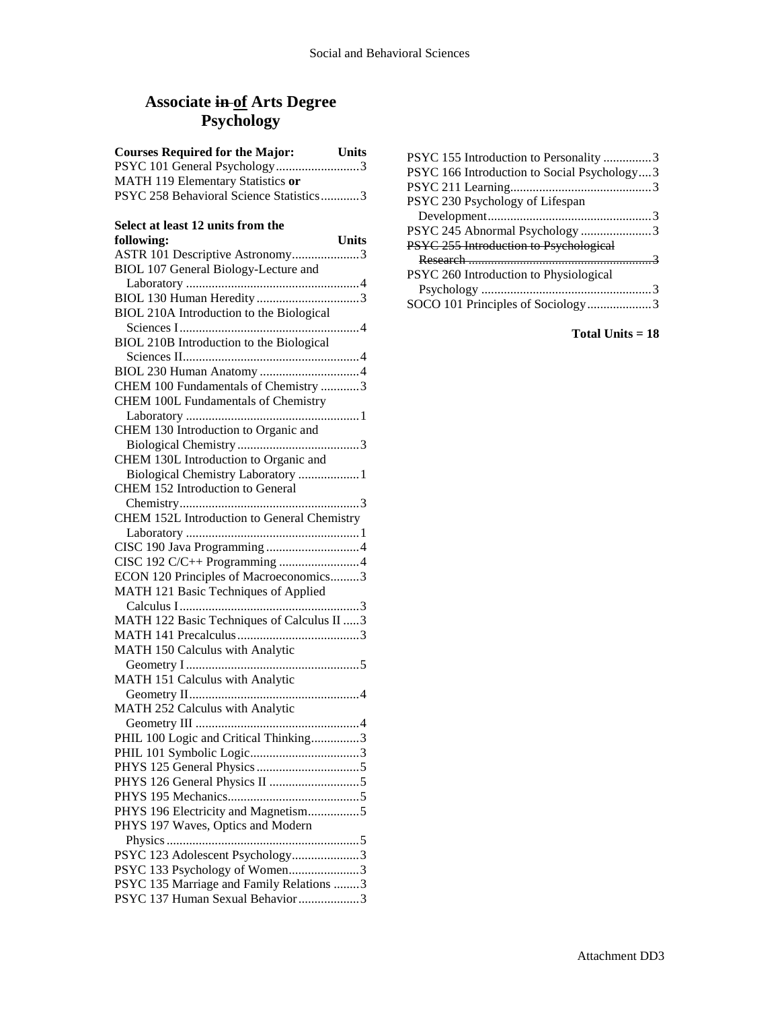## **Associate in of Arts Degree Psychology**

| <b>Courses Required for the Major:</b>  | <b>Units</b> |
|-----------------------------------------|--------------|
| PSYC 101 General Psychology3            |              |
| MATH 119 Elementary Statistics or       |              |
| PSYC 258 Behavioral Science Statistics3 |              |

### **Select at least 12 units from the**

| following:                                  | <b>Units</b> |
|---------------------------------------------|--------------|
| ASTR 101 Descriptive Astronomy3             |              |
| BIOL 107 General Biology-Lecture and        |              |
|                                             |              |
|                                             |              |
| BIOL 210A Introduction to the Biological    |              |
|                                             |              |
| BIOL 210B Introduction to the Biological    |              |
|                                             |              |
|                                             |              |
| CHEM 100 Fundamentals of Chemistry 3        |              |
|                                             |              |
| CHEM 100L Fundamentals of Chemistry         |              |
|                                             |              |
| CHEM 130 Introduction to Organic and        |              |
|                                             |              |
| CHEM 130L Introduction to Organic and       |              |
| Biological Chemistry Laboratory  1          |              |
| CHEM 152 Introduction to General            |              |
|                                             |              |
| CHEM 152L Introduction to General Chemistry |              |
|                                             |              |
|                                             |              |
|                                             |              |
| ECON 120 Principles of Macroeconomics3      |              |
| MATH 121 Basic Techniques of Applied        |              |
|                                             |              |
| MATH 122 Basic Techniques of Calculus II  3 |              |
|                                             |              |
| MATH 150 Calculus with Analytic             |              |
|                                             |              |
| MATH 151 Calculus with Analytic             |              |
|                                             |              |
| MATH 252 Calculus with Analytic             |              |
|                                             |              |
| PHIL 100 Logic and Critical Thinking3       |              |
|                                             |              |
|                                             |              |
|                                             |              |
|                                             |              |
| PHYS 196 Electricity and Magnetism5         |              |
| PHYS 197 Waves, Optics and Modern           |              |
|                                             |              |
| PSYC 123 Adolescent Psychology3             |              |
| PSYC 133 Psychology of Women3               |              |
| PSYC 135 Marriage and Family Relations 3    |              |
| PSYC 137 Human Sexual Behavior3             |              |
|                                             |              |

| PSYC 155 Introduction to Personality 3      |  |
|---------------------------------------------|--|
| PSYC 166 Introduction to Social Psychology3 |  |
|                                             |  |
| PSYC 230 Psychology of Lifespan             |  |
|                                             |  |
| PSYC 245 Abnormal Psychology 3              |  |
| PSYC 255 Introduction to Psychological      |  |
|                                             |  |
| PSYC 260 Introduction to Physiological      |  |
|                                             |  |
| SOCO 101 Principles of Sociology3           |  |
|                                             |  |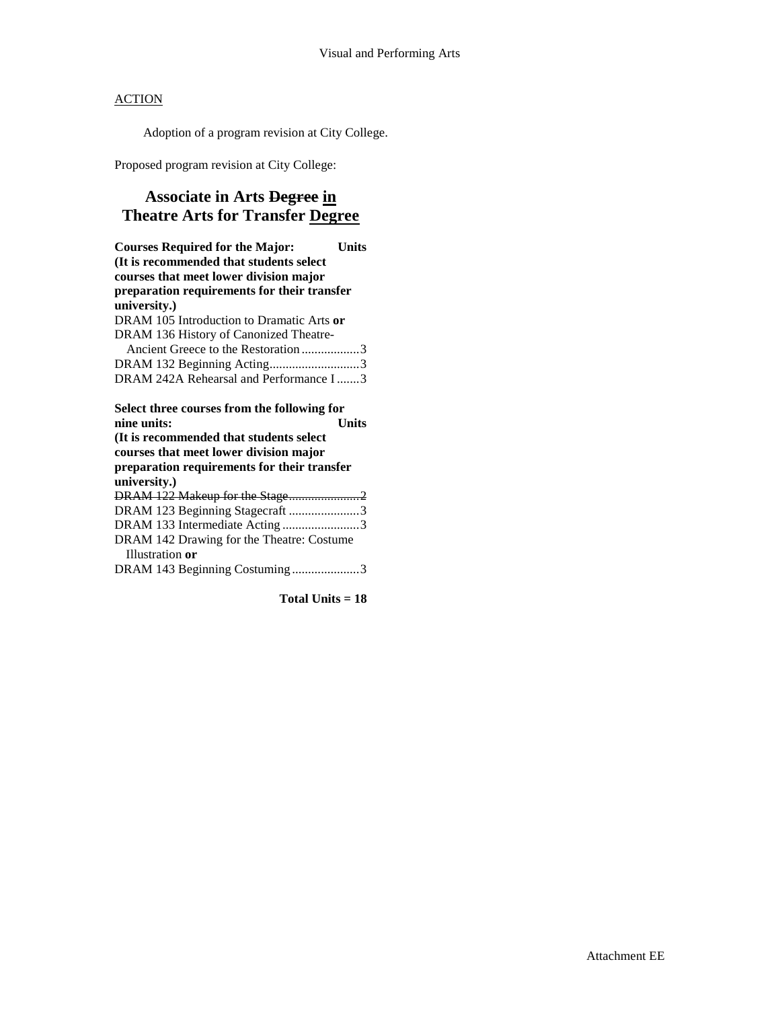Adoption of a program revision at City College.

Proposed program revision at City College:

### **Associate in Arts Degree in Theatre Arts for Transfer Degree**

| <b>Courses Required for the Major:</b>      | Units        |
|---------------------------------------------|--------------|
| (It is recommended that students select     |              |
| courses that meet lower division major      |              |
| preparation requirements for their transfer |              |
| university.)                                |              |
| DRAM 105 Introduction to Dramatic Arts or   |              |
| DRAM 136 History of Canonized Theatre-      |              |
| Ancient Greece to the Restoration 3         |              |
| DRAM 132 Beginning Acting3                  |              |
| DRAM 242A Rehearsal and Performance I3      |              |
|                                             |              |
| Select three courses from the following for |              |
| nine units:                                 | <b>Units</b> |
| (It is recommended that students select)    |              |
| courses that meet lower division major      |              |
| preparation requirements for their transfer |              |
| university.)                                |              |
|                                             |              |
| DRAM 123 Beginning Stagecraft 3             |              |
| DRAM 133 Intermediate Acting3               |              |
| DRAM 142 Drawing for the Theatre: Costume   |              |
| Illustration or                             |              |
| DRAM 143 Beginning Costuming3               |              |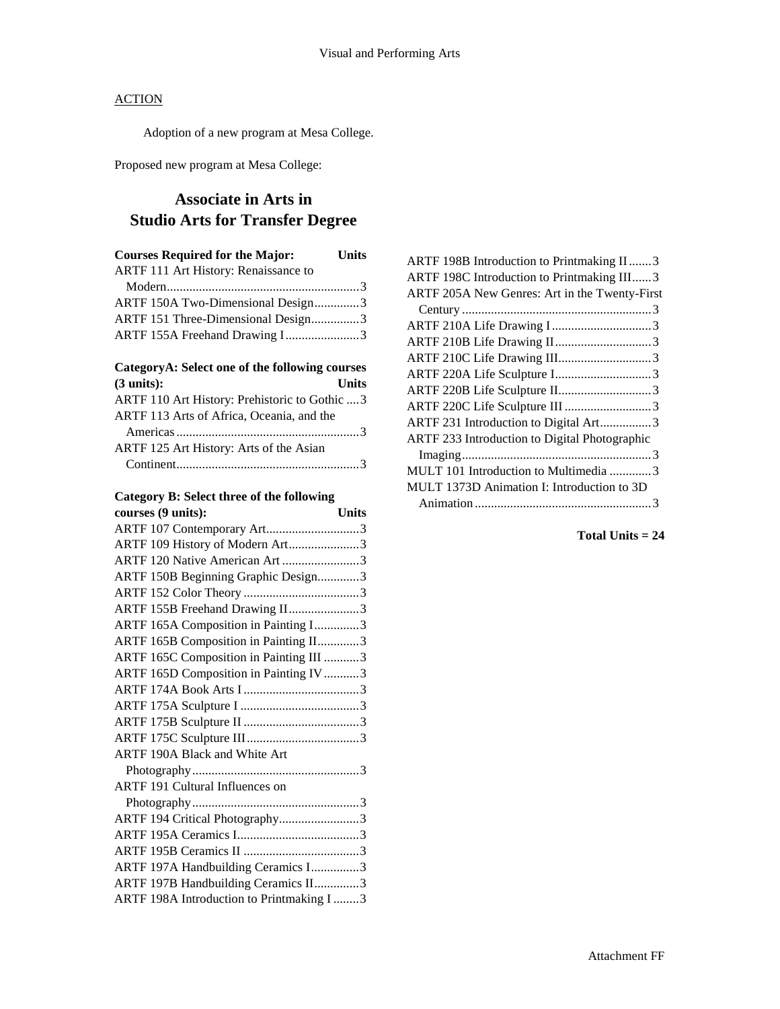Adoption of a new program at Mesa College.

Proposed new program at Mesa College:

### **Associate in Arts in Studio Arts for Transfer Degree**

| <b>Courses Required for the Major:</b> | <b>Units</b> |
|----------------------------------------|--------------|
| ARTF 111 Art History: Renaissance to   |              |
|                                        |              |
| ARTF 150A Two-Dimensional Design3      |              |
| ARTF 151 Three-Dimensional Design3     |              |
| ARTF 155A Freehand Drawing I3          |              |

# **CategoryA: Select one of the following courses**

| $(3 \text{ units})$ :                          | <b>Units</b> |
|------------------------------------------------|--------------|
| ARTF 110 Art History: Prehistoric to Gothic  3 |              |
| ARTF 113 Arts of Africa, Oceania, and the      |              |
|                                                |              |
| ARTF 125 Art History: Arts of the Asian        |              |
|                                                |              |

### **Category B: Select three of the following**

| courses (9 units):                       | <b>Units</b> |
|------------------------------------------|--------------|
| ARTF 107 Contemporary Art3               |              |
| ARTF 109 History of Modern Art3          |              |
| ARTF 120 Native American Art 3           |              |
| ARTF 150B Beginning Graphic Design3      |              |
|                                          |              |
| ARTF 155B Freehand Drawing II3           |              |
| ARTF 165A Composition in Painting I3     |              |
| ARTF 165B Composition in Painting II3    |              |
| ARTF 165C Composition in Painting III 3  |              |
| ARTF 165D Composition in Painting IV 3   |              |
|                                          |              |
|                                          |              |
|                                          |              |
|                                          |              |
| ARTF 190A Black and White Art            |              |
|                                          |              |
| ARTF 191 Cultural Influences on          |              |
|                                          |              |
| ARTF 194 Critical Photography3           |              |
|                                          |              |
|                                          |              |
| ARTF 197A Handbuilding Ceramics I3       |              |
| ARTF 197B Handbuilding Ceramics II3      |              |
| ARTF 198A Introduction to Printmaking I3 |              |

| ARTF 198B Introduction to Printmaking II 3    |  |
|-----------------------------------------------|--|
| ARTF 198C Introduction to Printmaking III3    |  |
| ARTF 205A New Genres: Art in the Twenty-First |  |
|                                               |  |
| ARTF 210A Life Drawing I3                     |  |
|                                               |  |
| ARTF 210C Life Drawing III3                   |  |
|                                               |  |
|                                               |  |
|                                               |  |
| ARTF 231 Introduction to Digital Art3         |  |
| ARTF 233 Introduction to Digital Photographic |  |
|                                               |  |
| MULT 101 Introduction to Multimedia 3         |  |
| MULT 1373D Animation I: Introduction to 3D    |  |
|                                               |  |